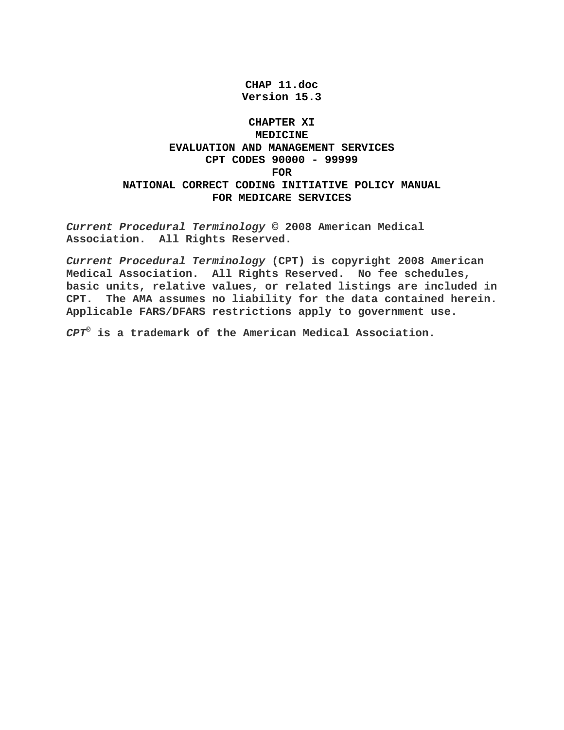**CHAP 11.doc Version 15.3** 

## **CHAPTER XI MEDICINE EVALUATION AND MANAGEMENT SERVICES CPT CODES 90000 - 99999 FOR**

# **NATIONAL CORRECT CODING INITIATIVE POLICY MANUAL FOR MEDICARE SERVICES**

*Current Procedural Terminology* **© 2008 American Medical Association. All Rights Reserved.** 

*Current Procedural Terminology* **(CPT) is copyright 2008 American Medical Association. All Rights Reserved. No fee schedules, basic units, relative values, or related listings are included in CPT. The AMA assumes no liability for the data contained herein. Applicable FARS/DFARS restrictions apply to government use.**

*CPT®* **is a trademark of the American Medical Association.**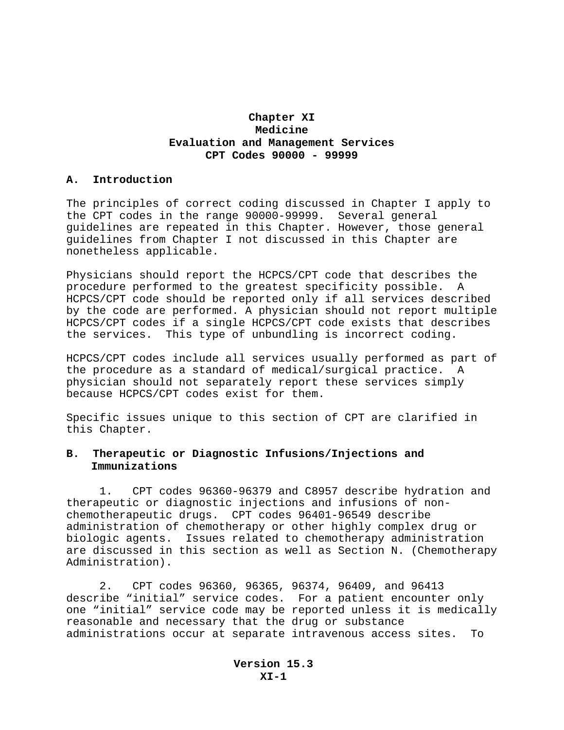## **Chapter XI Medicine Evaluation and Management Services CPT Codes 90000 - 99999**

#### **A. Introduction**

The principles of correct coding discussed in Chapter I apply to the CPT codes in the range 90000-99999. Several general guidelines are repeated in this Chapter. However, those general guidelines from Chapter I not discussed in this Chapter are nonetheless applicable.

Physicians should report the HCPCS/CPT code that describes the procedure performed to the greatest specificity possible. A HCPCS/CPT code should be reported only if all services described by the code are performed. A physician should not report multiple HCPCS/CPT codes if a single HCPCS/CPT code exists that describes the services. This type of unbundling is incorrect coding.

HCPCS/CPT codes include all services usually performed as part of the procedure as a standard of medical/surgical practice. A physician should not separately report these services simply because HCPCS/CPT codes exist for them.

Specific issues unique to this section of CPT are clarified in this Chapter.

## **B. Therapeutic or Diagnostic Infusions/Injections and Immunizations**

1. CPT codes 96360-96379 and C8957 describe hydration and therapeutic or diagnostic injections and infusions of nonchemotherapeutic drugs. CPT codes 96401-96549 describe administration of chemotherapy or other highly complex drug or biologic agents. Issues related to chemotherapy administration are discussed in this section as well as Section N. (Chemotherapy Administration).

2. CPT codes 96360, 96365, 96374, 96409, and 96413 describe "initial" service codes. For a patient encounter only one "initial" service code may be reported unless it is medically reasonable and necessary that the drug or substance administrations occur at separate intravenous access sites. To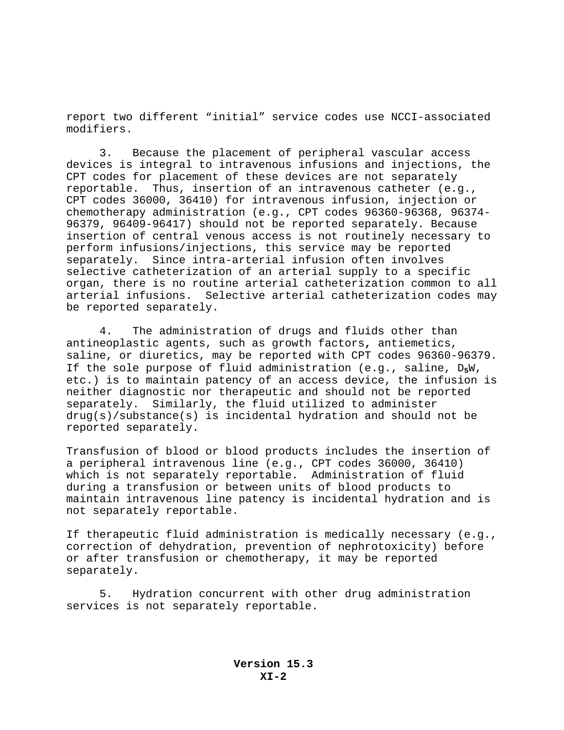report two different "initial" service codes use NCCI-associated modifiers.

3. Because the placement of peripheral vascular access devices is integral to intravenous infusions and injections, the CPT codes for placement of these devices are not separately reportable. Thus, insertion of an intravenous catheter (e.g., CPT codes 36000, 36410) for intravenous infusion, injection or chemotherapy administration (e.g., CPT codes 96360-96368, 96374- 96379, 96409-96417) should not be reported separately. Because insertion of central venous access is not routinely necessary to perform infusions/injections, this service may be reported separately. Since intra-arterial infusion often involves selective catheterization of an arterial supply to a specific organ, there is no routine arterial catheterization common to all arterial infusions. Selective arterial catheterization codes may be reported separately.

4. The administration of drugs and fluids other than antineoplastic agents, such as growth factors**,** antiemetics, saline, or diuretics, may be reported with CPT codes 96360-96379. If the sole purpose of fluid administration (e.g., saline, D**5**W, etc.) is to maintain patency of an access device, the infusion is neither diagnostic nor therapeutic and should not be reported separately. Similarly, the fluid utilized to administer drug(s)/substance(s) is incidental hydration and should not be reported separately.

Transfusion of blood or blood products includes the insertion of a peripheral intravenous line (e.g., CPT codes 36000, 36410) which is not separately reportable. Administration of fluid during a transfusion or between units of blood products to maintain intravenous line patency is incidental hydration and is not separately reportable.

If therapeutic fluid administration is medically necessary (e.g., correction of dehydration, prevention of nephrotoxicity) before or after transfusion or chemotherapy, it may be reported separately.

5. Hydration concurrent with other drug administration services is not separately reportable.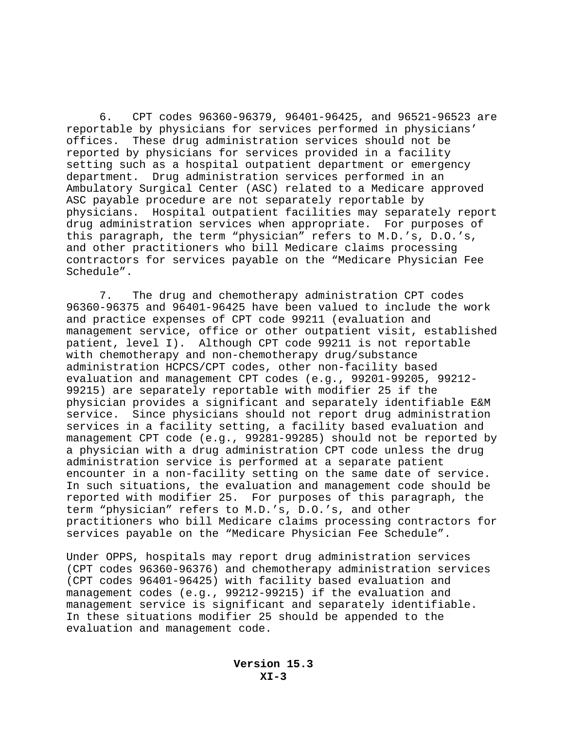6. CPT codes 96360-96379, 96401-96425, and 96521-96523 are reportable by physicians for services performed in physicians' offices. These drug administration services should not be reported by physicians for services provided in a facility setting such as a hospital outpatient department or emergency department. Drug administration services performed in an Ambulatory Surgical Center (ASC) related to a Medicare approved ASC payable procedure are not separately reportable by physicians. Hospital outpatient facilities may separately report drug administration services when appropriate. For purposes of this paragraph, the term "physician" refers to M.D.'s, D.O.'s, and other practitioners who bill Medicare claims processing contractors for services payable on the "Medicare Physician Fee Schedule".

7. The drug and chemotherapy administration CPT codes 96360-96375 and 96401-96425 have been valued to include the work and practice expenses of CPT code 99211 (evaluation and management service, office or other outpatient visit, established patient, level I). Although CPT code 99211 is not reportable with chemotherapy and non-chemotherapy drug/substance administration HCPCS/CPT codes, other non-facility based evaluation and management CPT codes (e.g., 99201-99205, 99212- 99215) are separately reportable with modifier 25 if the physician provides a significant and separately identifiable E&M service. Since physicians should not report drug administration services in a facility setting, a facility based evaluation and management CPT code (e.g., 99281-99285) should not be reported by a physician with a drug administration CPT code unless the drug administration service is performed at a separate patient encounter in a non-facility setting on the same date of service. In such situations, the evaluation and management code should be reported with modifier 25. For purposes of this paragraph, the term "physician" refers to M.D.'s, D.O.'s, and other practitioners who bill Medicare claims processing contractors for services payable on the "Medicare Physician Fee Schedule".

Under OPPS, hospitals may report drug administration services (CPT codes 96360-96376) and chemotherapy administration services (CPT codes 96401-96425) with facility based evaluation and management codes (e.g., 99212-99215) if the evaluation and management service is significant and separately identifiable. In these situations modifier 25 should be appended to the evaluation and management code.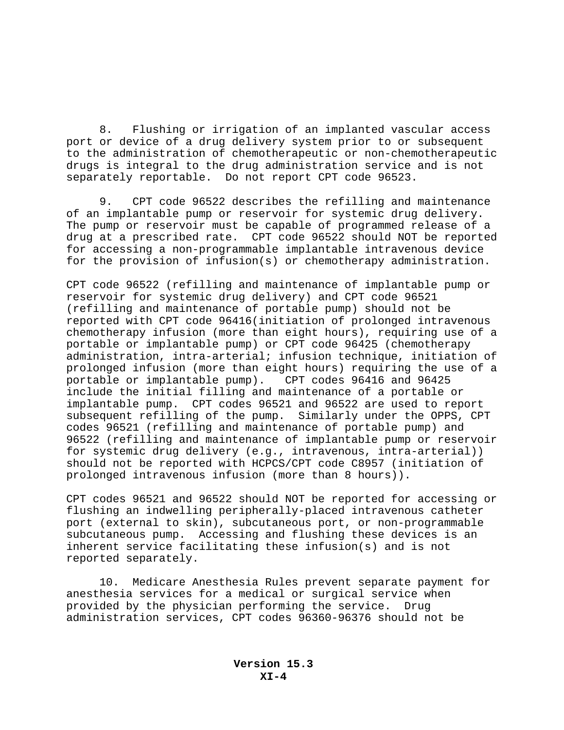8. Flushing or irrigation of an implanted vascular access port or device of a drug delivery system prior to or subsequent to the administration of chemotherapeutic or non-chemotherapeutic drugs is integral to the drug administration service and is not separately reportable. Do not report CPT code 96523.

9. CPT code 96522 describes the refilling and maintenance of an implantable pump or reservoir for systemic drug delivery. The pump or reservoir must be capable of programmed release of a drug at a prescribed rate. CPT code 96522 should NOT be reported for accessing a non-programmable implantable intravenous device for the provision of infusion(s) or chemotherapy administration.

CPT code 96522 (refilling and maintenance of implantable pump or reservoir for systemic drug delivery) and CPT code 96521 (refilling and maintenance of portable pump) should not be reported with CPT code 96416(initiation of prolonged intravenous chemotherapy infusion (more than eight hours), requiring use of a portable or implantable pump) or CPT code 96425 (chemotherapy administration, intra-arterial; infusion technique, initiation of prolonged infusion (more than eight hours) requiring the use of a portable or implantable pump). CPT codes 96416 and 96425 include the initial filling and maintenance of a portable or implantable pump. CPT codes 96521 and 96522 are used to report subsequent refilling of the pump. Similarly under the OPPS, CPT codes 96521 (refilling and maintenance of portable pump) and 96522 (refilling and maintenance of implantable pump or reservoir for systemic drug delivery (e.g., intravenous, intra-arterial)) should not be reported with HCPCS/CPT code C8957 (initiation of prolonged intravenous infusion (more than 8 hours)).

CPT codes 96521 and 96522 should NOT be reported for accessing or flushing an indwelling peripherally-placed intravenous catheter port (external to skin), subcutaneous port, or non-programmable subcutaneous pump. Accessing and flushing these devices is an inherent service facilitating these infusion(s) and is not reported separately.

10. Medicare Anesthesia Rules prevent separate payment for anesthesia services for a medical or surgical service when provided by the physician performing the service. Drug administration services, CPT codes 96360-96376 should not be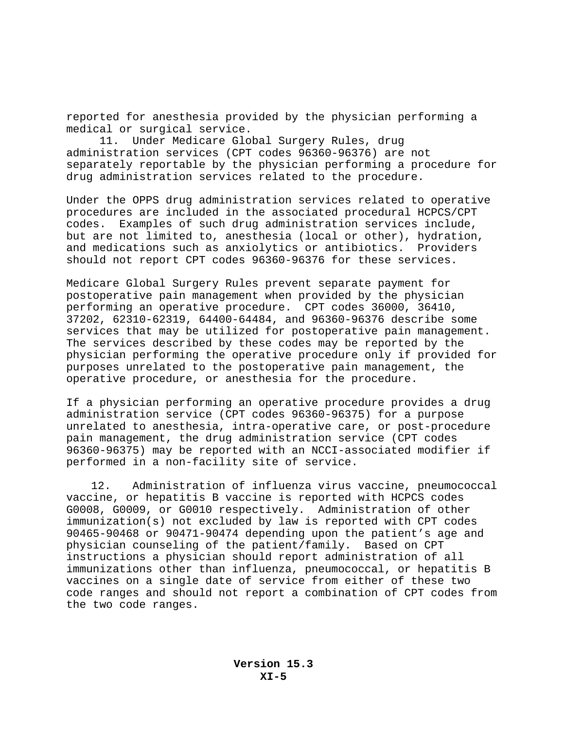reported for anesthesia provided by the physician performing a medical or surgical service.

11. Under Medicare Global Surgery Rules, drug administration services (CPT codes 96360-96376) are not separately reportable by the physician performing a procedure for drug administration services related to the procedure.

Under the OPPS drug administration services related to operative procedures are included in the associated procedural HCPCS/CPT codes. Examples of such drug administration services include, but are not limited to, anesthesia (local or other), hydration, and medications such as anxiolytics or antibiotics. Providers should not report CPT codes 96360-96376 for these services.

Medicare Global Surgery Rules prevent separate payment for postoperative pain management when provided by the physician performing an operative procedure. CPT codes 36000, 36410, 37202, 62310-62319, 64400-64484, and 96360-96376 describe some services that may be utilized for postoperative pain management. The services described by these codes may be reported by the physician performing the operative procedure only if provided for purposes unrelated to the postoperative pain management, the operative procedure, or anesthesia for the procedure.

If a physician performing an operative procedure provides a drug administration service (CPT codes 96360-96375) for a purpose unrelated to anesthesia, intra-operative care, or post-procedure pain management, the drug administration service (CPT codes 96360-96375) may be reported with an NCCI-associated modifier if performed in a non-facility site of service.

12.Administration of influenza virus vaccine, pneumococcal vaccine, or hepatitis B vaccine is reported with HCPCS codes G0008, G0009, or G0010 respectively. Administration of other immunization(s) not excluded by law is reported with CPT codes 90465-90468 or 90471-90474 depending upon the patient's age and physician counseling of the patient/family. Based on CPT instructions a physician should report administration of all immunizations other than influenza, pneumococcal, or hepatitis B vaccines on a single date of service from either of these two code ranges and should not report a combination of CPT codes from the two code ranges.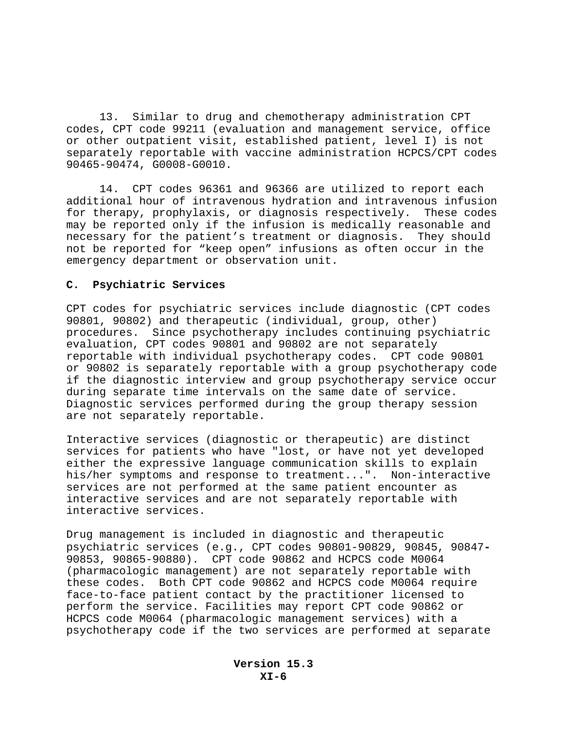13. Similar to drug and chemotherapy administration CPT codes, CPT code 99211 (evaluation and management service, office or other outpatient visit, established patient, level I) is not separately reportable with vaccine administration HCPCS/CPT codes 90465-90474, G0008-G0010.

14. CPT codes 96361 and 96366 are utilized to report each additional hour of intravenous hydration and intravenous infusion for therapy, prophylaxis, or diagnosis respectively. These codes may be reported only if the infusion is medically reasonable and necessary for the patient's treatment or diagnosis. They should not be reported for "keep open" infusions as often occur in the emergency department or observation unit.

### **C. Psychiatric Services**

CPT codes for psychiatric services include diagnostic (CPT codes 90801, 90802) and therapeutic (individual, group, other) procedures. Since psychotherapy includes continuing psychiatric evaluation, CPT codes 90801 and 90802 are not separately reportable with individual psychotherapy codes. CPT code 90801 or 90802 is separately reportable with a group psychotherapy code if the diagnostic interview and group psychotherapy service occur during separate time intervals on the same date of service. Diagnostic services performed during the group therapy session are not separately reportable.

Interactive services (diagnostic or therapeutic) are distinct services for patients who have "lost, or have not yet developed either the expressive language communication skills to explain his/her symptoms and response to treatment...". Non-interactive services are not performed at the same patient encounter as interactive services and are not separately reportable with interactive services.

Drug management is included in diagnostic and therapeutic psychiatric services (e.g., CPT codes 90801-90829, 90845, 90847**-** 90853, 90865-90880). CPT code 90862 and HCPCS code M0064 (pharmacologic management) are not separately reportable with these codes. Both CPT code 90862 and HCPCS code M0064 require face-to-face patient contact by the practitioner licensed to perform the service. Facilities may report CPT code 90862 or HCPCS code M0064 (pharmacologic management services) with a psychotherapy code if the two services are performed at separate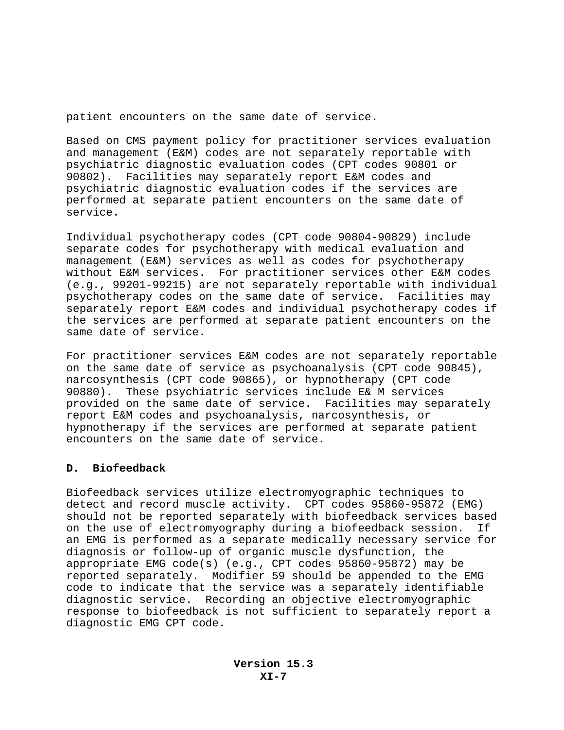patient encounters on the same date of service.

Based on CMS payment policy for practitioner services evaluation and management (E&M) codes are not separately reportable with psychiatric diagnostic evaluation codes (CPT codes 90801 or 90802). Facilities may separately report E&M codes and psychiatric diagnostic evaluation codes if the services are performed at separate patient encounters on the same date of service.

Individual psychotherapy codes (CPT code 90804-90829) include separate codes for psychotherapy with medical evaluation and management (E&M) services as well as codes for psychotherapy without E&M services. For practitioner services other E&M codes (e.g., 99201-99215) are not separately reportable with individual psychotherapy codes on the same date of service. Facilities may separately report E&M codes and individual psychotherapy codes if the services are performed at separate patient encounters on the same date of service.

For practitioner services E&M codes are not separately reportable on the same date of service as psychoanalysis (CPT code 90845), narcosynthesis (CPT code 90865), or hypnotherapy (CPT code 90880). These psychiatric services include E& M services provided on the same date of service. Facilities may separately report E&M codes and psychoanalysis, narcosynthesis, or hypnotherapy if the services are performed at separate patient encounters on the same date of service.

## **D. Biofeedback**

Biofeedback services utilize electromyographic techniques to detect and record muscle activity. CPT codes 95860-95872 (EMG) should not be reported separately with biofeedback services based on the use of electromyography during a biofeedback session. If an EMG is performed as a separate medically necessary service for diagnosis or follow-up of organic muscle dysfunction, the appropriate EMG code(s) (e.g., CPT codes 95860-95872) may be reported separately. Modifier 59 should be appended to the EMG code to indicate that the service was a separately identifiable diagnostic service. Recording an objective electromyographic response to biofeedback is not sufficient to separately report a diagnostic EMG CPT code.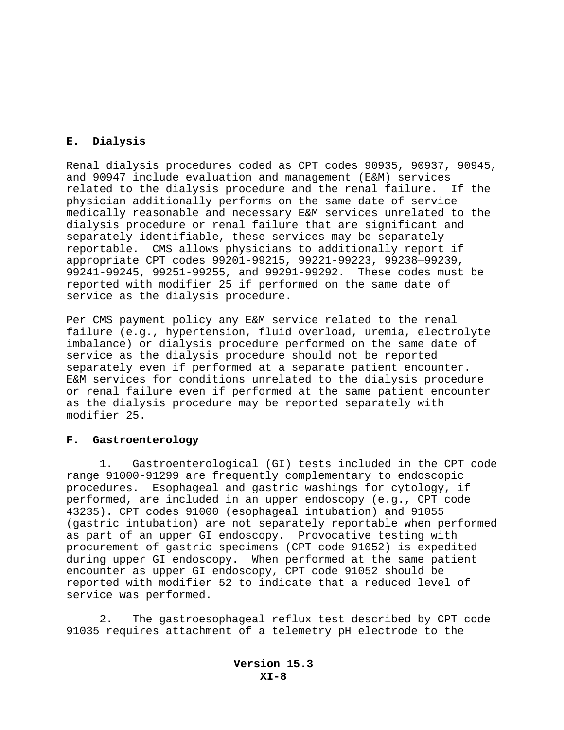## **E. Dialysis**

Renal dialysis procedures coded as CPT codes 90935, 90937, 90945, and 90947 include evaluation and management (E&M) services related to the dialysis procedure and the renal failure. If the physician additionally performs on the same date of service medically reasonable and necessary E&M services unrelated to the dialysis procedure or renal failure that are significant and separately identifiable, these services may be separately reportable. CMS allows physicians to additionally report if appropriate CPT codes 99201-99215, 99221-99223, 99238—99239, 99241-99245, 99251-99255, and 99291-99292. These codes must be reported with modifier 25 if performed on the same date of service as the dialysis procedure.

Per CMS payment policy any E&M service related to the renal failure (e.g., hypertension, fluid overload, uremia, electrolyte imbalance) or dialysis procedure performed on the same date of service as the dialysis procedure should not be reported separately even if performed at a separate patient encounter. E&M services for conditions unrelated to the dialysis procedure or renal failure even if performed at the same patient encounter as the dialysis procedure may be reported separately with modifier 25.

#### **F. Gastroenterology**

1. Gastroenterological (GI) tests included in the CPT code range 91000-91299 are frequently complementary to endoscopic procedures. Esophageal and gastric washings for cytology, if performed, are included in an upper endoscopy (e.g., CPT code 43235). CPT codes 91000 (esophageal intubation) and 91055 (gastric intubation) are not separately reportable when performed as part of an upper GI endoscopy. Provocative testing with procurement of gastric specimens (CPT code 91052) is expedited during upper GI endoscopy. When performed at the same patient encounter as upper GI endoscopy, CPT code 91052 should be reported with modifier 52 to indicate that a reduced level of service was performed.

2. The gastroesophageal reflux test described by CPT code 91035 requires attachment of a telemetry pH electrode to the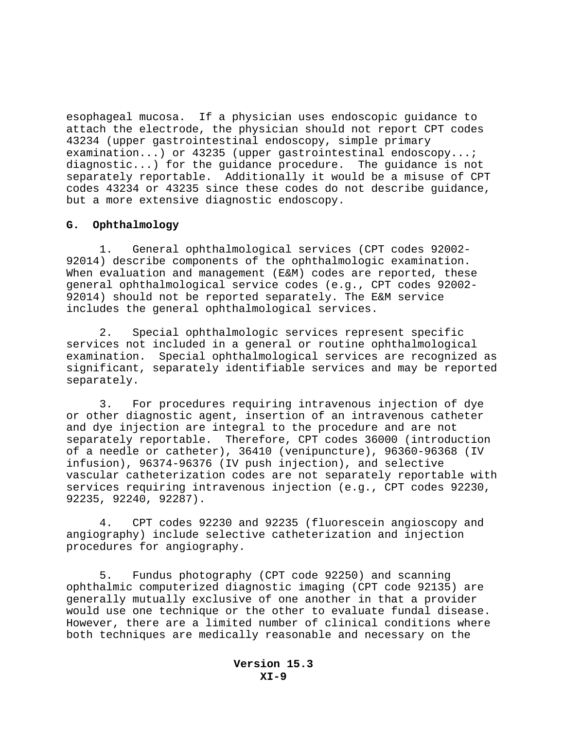esophageal mucosa. If a physician uses endoscopic guidance to attach the electrode, the physician should not report CPT codes 43234 (upper gastrointestinal endoscopy, simple primary examination...) or 43235 (upper gastrointestinal endoscopy...; diagnostic...) for the guidance procedure. The guidance is not separately reportable. Additionally it would be a misuse of CPT codes 43234 or 43235 since these codes do not describe guidance, but a more extensive diagnostic endoscopy.

### **G. Ophthalmology**

1. General ophthalmological services (CPT codes 92002- 92014) describe components of the ophthalmologic examination. When evaluation and management (E&M) codes are reported, these general ophthalmological service codes (e.g., CPT codes 92002- 92014) should not be reported separately. The E&M service includes the general ophthalmological services.

2. Special ophthalmologic services represent specific services not included in a general or routine ophthalmological examination. Special ophthalmological services are recognized as significant, separately identifiable services and may be reported separately.

3. For procedures requiring intravenous injection of dye or other diagnostic agent, insertion of an intravenous catheter and dye injection are integral to the procedure and are not separately reportable. Therefore, CPT codes 36000 (introduction of a needle or catheter), 36410 (venipuncture), 96360-96368 (IV infusion), 96374-96376 (IV push injection), and selective vascular catheterization codes are not separately reportable with services requiring intravenous injection (e.g., CPT codes 92230, 92235, 92240, 92287).

4. CPT codes 92230 and 92235 (fluorescein angioscopy and angiography) include selective catheterization and injection procedures for angiography.

5. Fundus photography (CPT code 92250) and scanning ophthalmic computerized diagnostic imaging (CPT code 92135) are generally mutually exclusive of one another in that a provider would use one technique or the other to evaluate fundal disease. However, there are a limited number of clinical conditions where both techniques are medically reasonable and necessary on the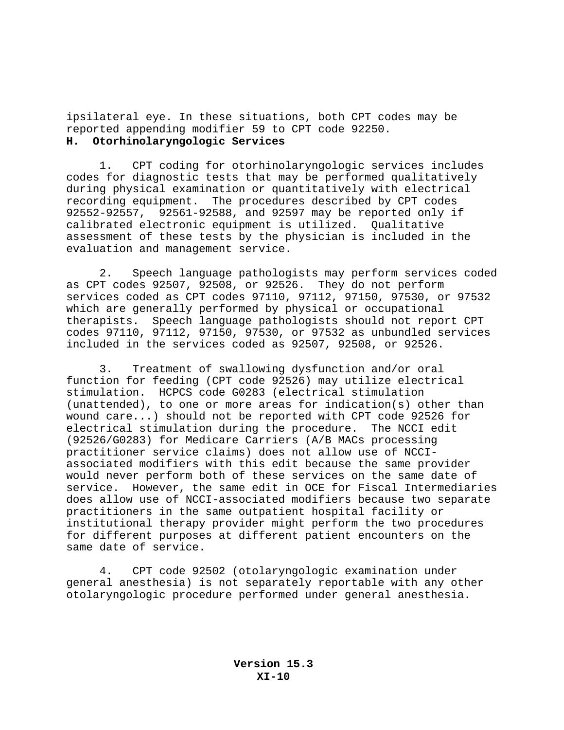ipsilateral eye. In these situations, both CPT codes may be reported appending modifier 59 to CPT code 92250. **H. Otorhinolaryngologic Services** 

1. CPT coding for otorhinolaryngologic services includes codes for diagnostic tests that may be performed qualitatively during physical examination or quantitatively with electrical recording equipment. The procedures described by CPT codes 92552-92557, 92561-92588, and 92597 may be reported only if calibrated electronic equipment is utilized. Qualitative assessment of these tests by the physician is included in the evaluation and management service.

2. Speech language pathologists may perform services coded as CPT codes 92507, 92508, or 92526. They do not perform services coded as CPT codes 97110, 97112, 97150, 97530, or 97532 which are generally performed by physical or occupational therapists. Speech language pathologists should not report CPT codes 97110, 97112, 97150, 97530, or 97532 as unbundled services included in the services coded as 92507, 92508, or 92526.

3. Treatment of swallowing dysfunction and/or oral function for feeding (CPT code 92526) may utilize electrical stimulation. HCPCS code G0283 (electrical stimulation (unattended), to one or more areas for indication(s) other than wound care...) should not be reported with CPT code 92526 for electrical stimulation during the procedure. The NCCI edit (92526/G0283) for Medicare Carriers (A/B MACs processing practitioner service claims) does not allow use of NCCIassociated modifiers with this edit because the same provider would never perform both of these services on the same date of service. However, the same edit in OCE for Fiscal Intermediaries does allow use of NCCI-associated modifiers because two separate practitioners in the same outpatient hospital facility or institutional therapy provider might perform the two procedures for different purposes at different patient encounters on the same date of service.

4. CPT code 92502 (otolaryngologic examination under general anesthesia) is not separately reportable with any other otolaryngologic procedure performed under general anesthesia.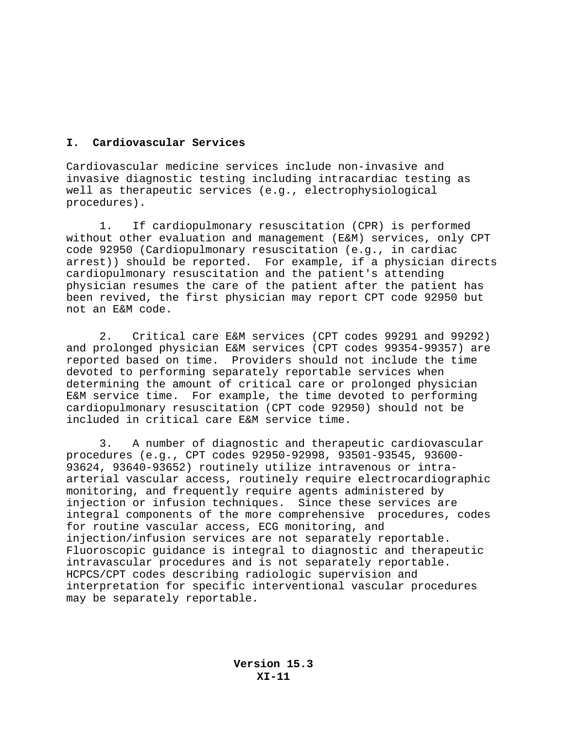## **I. Cardiovascular Services**

Cardiovascular medicine services include non-invasive and invasive diagnostic testing including intracardiac testing as well as therapeutic services (e.g., electrophysiological procedures).

1. If cardiopulmonary resuscitation (CPR) is performed without other evaluation and management (E&M) services, only CPT code 92950 (Cardiopulmonary resuscitation (e.g., in cardiac arrest)) should be reported. For example, if a physician directs cardiopulmonary resuscitation and the patient's attending physician resumes the care of the patient after the patient has been revived, the first physician may report CPT code 92950 but not an E&M code.

2. Critical care E&M services (CPT codes 99291 and 99292) and prolonged physician E&M services (CPT codes 99354-99357) are reported based on time. Providers should not include the time devoted to performing separately reportable services when determining the amount of critical care or prolonged physician E&M service time. For example, the time devoted to performing cardiopulmonary resuscitation (CPT code 92950) should not be included in critical care E&M service time.

 3. A number of diagnostic and therapeutic cardiovascular procedures (e.g., CPT codes 92950-92998, 93501-93545, 93600- 93624, 93640-93652) routinely utilize intravenous or intraarterial vascular access, routinely require electrocardiographic monitoring, and frequently require agents administered by injection or infusion techniques. Since these services are integral components of the more comprehensive procedures, codes for routine vascular access, ECG monitoring, and injection/infusion services are not separately reportable. Fluoroscopic guidance is integral to diagnostic and therapeutic intravascular procedures and is not separately reportable. HCPCS/CPT codes describing radiologic supervision and interpretation for specific interventional vascular procedures may be separately reportable.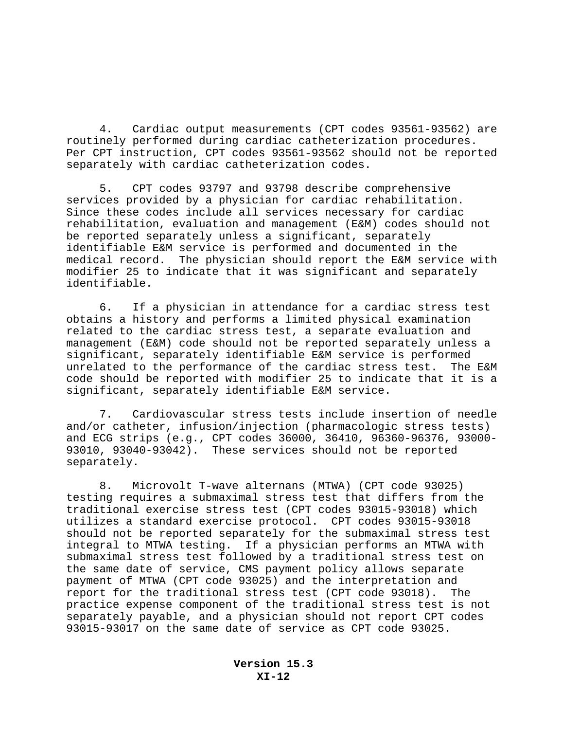4. Cardiac output measurements (CPT codes 93561-93562) are routinely performed during cardiac catheterization procedures. Per CPT instruction, CPT codes 93561-93562 should not be reported separately with cardiac catheterization codes.

5. CPT codes 93797 and 93798 describe comprehensive services provided by a physician for cardiac rehabilitation. Since these codes include all services necessary for cardiac rehabilitation, evaluation and management (E&M) codes should not be reported separately unless a significant, separately identifiable E&M service is performed and documented in the medical record. The physician should report the E&M service with modifier 25 to indicate that it was significant and separately identifiable.

6. If a physician in attendance for a cardiac stress test obtains a history and performs a limited physical examination related to the cardiac stress test, a separate evaluation and management (E&M) code should not be reported separately unless a significant, separately identifiable E&M service is performed unrelated to the performance of the cardiac stress test. The E&M code should be reported with modifier 25 to indicate that it is a significant, separately identifiable E&M service.

7. Cardiovascular stress tests include insertion of needle and/or catheter, infusion/injection (pharmacologic stress tests) and ECG strips (e.g., CPT codes 36000, 36410, 96360-96376, 93000- 93010, 93040-93042). These services should not be reported separately.

8. Microvolt T-wave alternans (MTWA) (CPT code 93025) testing requires a submaximal stress test that differs from the traditional exercise stress test (CPT codes 93015-93018) which utilizes a standard exercise protocol. CPT codes 93015-93018 should not be reported separately for the submaximal stress test integral to MTWA testing. If a physician performs an MTWA with submaximal stress test followed by a traditional stress test on the same date of service, CMS payment policy allows separate payment of MTWA (CPT code 93025) and the interpretation and report for the traditional stress test (CPT code 93018). The practice expense component of the traditional stress test is not separately payable, and a physician should not report CPT codes 93015-93017 on the same date of service as CPT code 93025.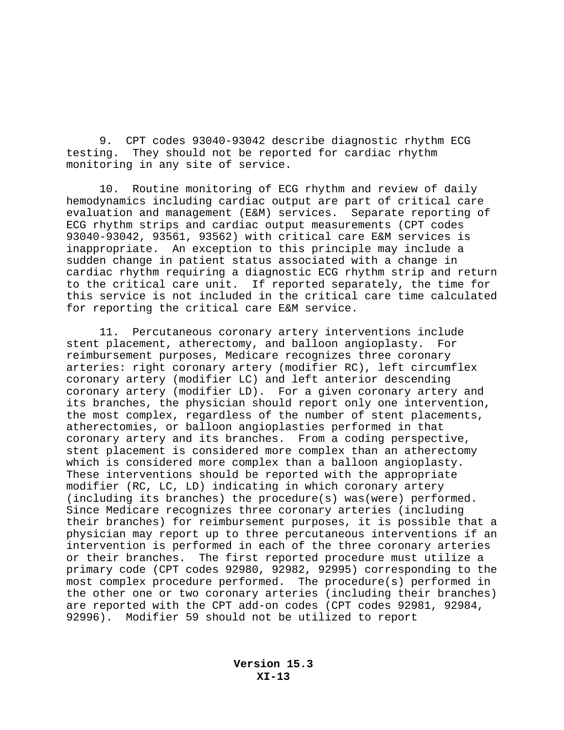9. CPT codes 93040-93042 describe diagnostic rhythm ECG testing. They should not be reported for cardiac rhythm monitoring in any site of service.

10. Routine monitoring of ECG rhythm and review of daily hemodynamics including cardiac output are part of critical care evaluation and management (E&M) services. Separate reporting of ECG rhythm strips and cardiac output measurements (CPT codes 93040-93042, 93561, 93562) with critical care E&M services is inappropriate. An exception to this principle may include a sudden change in patient status associated with a change in cardiac rhythm requiring a diagnostic ECG rhythm strip and return to the critical care unit. If reported separately, the time for this service is not included in the critical care time calculated for reporting the critical care E&M service.

11. Percutaneous coronary artery interventions include stent placement, atherectomy, and balloon angioplasty. For reimbursement purposes, Medicare recognizes three coronary arteries: right coronary artery (modifier RC), left circumflex coronary artery (modifier LC) and left anterior descending coronary artery (modifier LD). For a given coronary artery and its branches, the physician should report only one intervention, the most complex, regardless of the number of stent placements, atherectomies, or balloon angioplasties performed in that coronary artery and its branches. From a coding perspective, stent placement is considered more complex than an atherectomy which is considered more complex than a balloon angioplasty. These interventions should be reported with the appropriate modifier (RC, LC, LD) indicating in which coronary artery (including its branches) the procedure(s) was(were) performed. Since Medicare recognizes three coronary arteries (including their branches) for reimbursement purposes, it is possible that a physician may report up to three percutaneous interventions if an intervention is performed in each of the three coronary arteries or their branches. The first reported procedure must utilize a primary code (CPT codes 92980, 92982, 92995) corresponding to the most complex procedure performed. The procedure(s) performed in the other one or two coronary arteries (including their branches) are reported with the CPT add-on codes (CPT codes 92981, 92984, 92996). Modifier 59 should not be utilized to report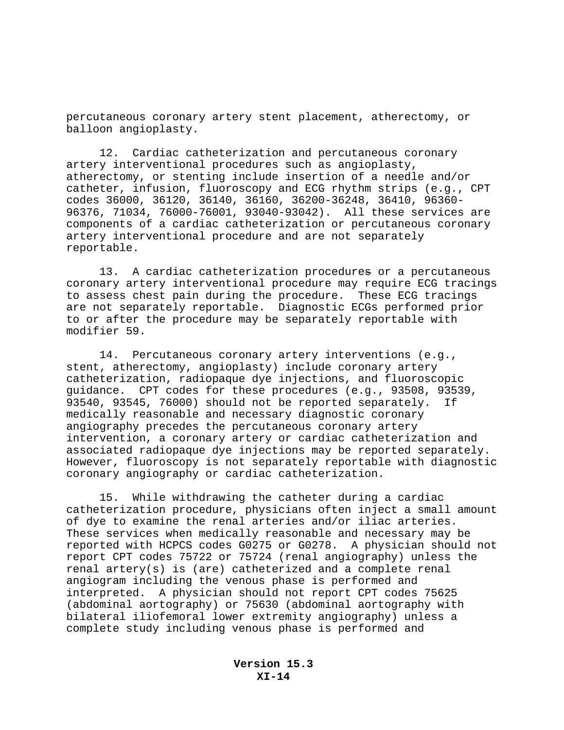percutaneous coronary artery stent placement, atherectomy, or balloon angioplasty.

12. Cardiac catheterization and percutaneous coronary artery interventional procedures such as angioplasty, atherectomy, or stenting include insertion of a needle and/or catheter, infusion, fluoroscopy and ECG rhythm strips (e.g., CPT codes 36000, 36120, 36140, 36160, 36200-36248, 36410, 96360- 96376, 71034, 76000-76001, 93040-93042). All these services are components of a cardiac catheterization or percutaneous coronary artery interventional procedure and are not separately reportable.

13. A cardiac catheterization procedures or a percutaneous coronary artery interventional procedure may require ECG tracings to assess chest pain during the procedure. These ECG tracings are not separately reportable. Diagnostic ECGs performed prior to or after the procedure may be separately reportable with modifier 59.

14. Percutaneous coronary artery interventions (e.g., stent, atherectomy, angioplasty) include coronary artery catheterization, radiopaque dye injections, and fluoroscopic guidance. CPT codes for these procedures (e.g., 93508, 93539, 93540, 93545, 76000) should not be reported separately. If medically reasonable and necessary diagnostic coronary angiography precedes the percutaneous coronary artery intervention, a coronary artery or cardiac catheterization and associated radiopaque dye injections may be reported separately. However, fluoroscopy is not separately reportable with diagnostic coronary angiography or cardiac catheterization.

15. While withdrawing the catheter during a cardiac catheterization procedure, physicians often inject a small amount of dye to examine the renal arteries and/or iliac arteries. These services when medically reasonable and necessary may be reported with HCPCS codes G0275 or G0278. A physician should not report CPT codes 75722 or 75724 (renal angiography) unless the renal artery(s) is (are) catheterized and a complete renal angiogram including the venous phase is performed and interpreted. A physician should not report CPT codes 75625 (abdominal aortography) or 75630 (abdominal aortography with bilateral iliofemoral lower extremity angiography) unless a complete study including venous phase is performed and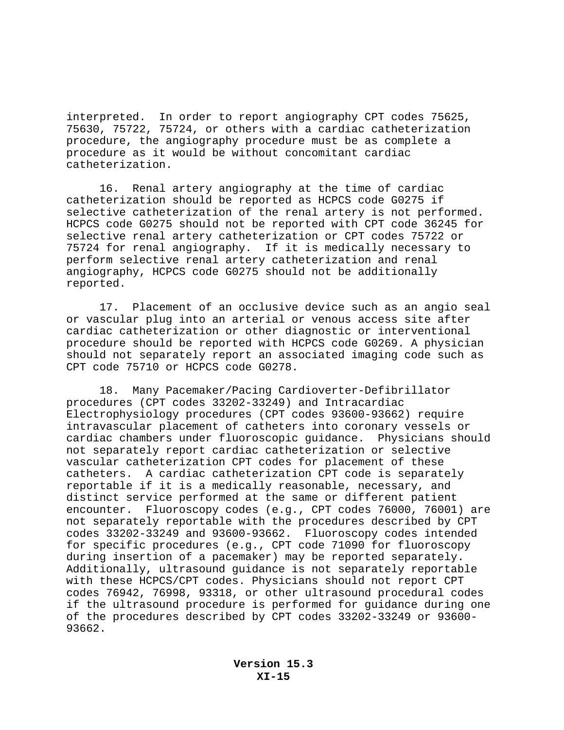interpreted. In order to report angiography CPT codes 75625, 75630, 75722, 75724, or others with a cardiac catheterization procedure, the angiography procedure must be as complete a procedure as it would be without concomitant cardiac catheterization.

16. Renal artery angiography at the time of cardiac catheterization should be reported as HCPCS code G0275 if selective catheterization of the renal artery is not performed. HCPCS code G0275 should not be reported with CPT code 36245 for selective renal artery catheterization or CPT codes 75722 or 75724 for renal angiography. If it is medically necessary to perform selective renal artery catheterization and renal angiography, HCPCS code G0275 should not be additionally reported.

17. Placement of an occlusive device such as an angio seal or vascular plug into an arterial or venous access site after cardiac catheterization or other diagnostic or interventional procedure should be reported with HCPCS code G0269. A physician should not separately report an associated imaging code such as CPT code 75710 or HCPCS code G0278.

18. Many Pacemaker/Pacing Cardioverter-Defibrillator procedures (CPT codes 33202-33249) and Intracardiac Electrophysiology procedures (CPT codes 93600-93662) require intravascular placement of catheters into coronary vessels or cardiac chambers under fluoroscopic guidance. Physicians should not separately report cardiac catheterization or selective vascular catheterization CPT codes for placement of these catheters. A cardiac catheterization CPT code is separately reportable if it is a medically reasonable, necessary, and distinct service performed at the same or different patient encounter. Fluoroscopy codes (e.g., CPT codes 76000, 76001) are not separately reportable with the procedures described by CPT codes 33202-33249 and 93600-93662. Fluoroscopy codes intended for specific procedures (e.g., CPT code 71090 for fluoroscopy during insertion of a pacemaker) may be reported separately. Additionally, ultrasound guidance is not separately reportable with these HCPCS/CPT codes. Physicians should not report CPT codes 76942, 76998, 93318, or other ultrasound procedural codes if the ultrasound procedure is performed for guidance during one of the procedures described by CPT codes 33202-33249 or 93600- 93662.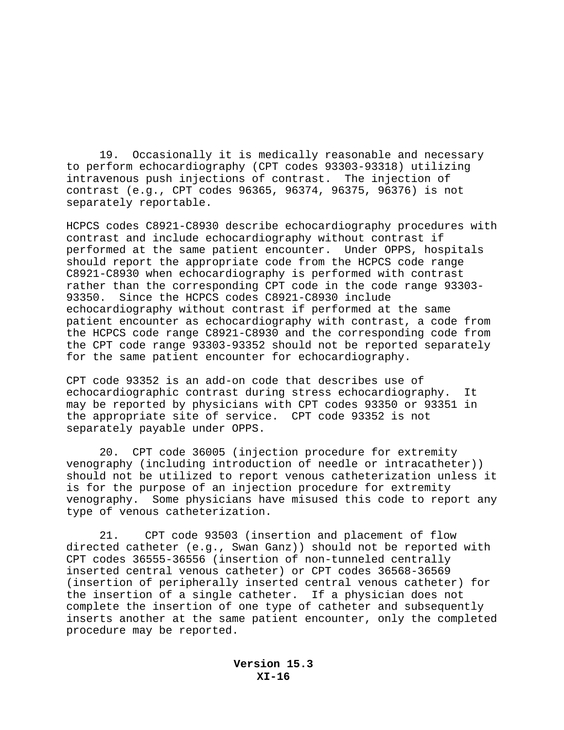19. Occasionally it is medically reasonable and necessary to perform echocardiography (CPT codes 93303-93318) utilizing intravenous push injections of contrast. The injection of contrast (e.g., CPT codes 96365, 96374, 96375, 96376) is not separately reportable.

HCPCS codes C8921-C8930 describe echocardiography procedures with contrast and include echocardiography without contrast if performed at the same patient encounter. Under OPPS, hospitals should report the appropriate code from the HCPCS code range C8921-C8930 when echocardiography is performed with contrast rather than the corresponding CPT code in the code range 93303- 93350. Since the HCPCS codes C8921-C8930 include echocardiography without contrast if performed at the same patient encounter as echocardiography with contrast, a code from the HCPCS code range C8921-C8930 and the corresponding code from the CPT code range 93303-93352 should not be reported separately for the same patient encounter for echocardiography.

CPT code 93352 is an add-on code that describes use of echocardiographic contrast during stress echocardiography. It may be reported by physicians with CPT codes 93350 or 93351 in the appropriate site of service. CPT code 93352 is not separately payable under OPPS.

20. CPT code 36005 (injection procedure for extremity venography (including introduction of needle or intracatheter)) should not be utilized to report venous catheterization unless it is for the purpose of an injection procedure for extremity venography. Some physicians have misused this code to report any type of venous catheterization.

21. CPT code 93503 (insertion and placement of flow directed catheter (e.g., Swan Ganz)) should not be reported with CPT codes 36555-36556 (insertion of non-tunneled centrally inserted central venous catheter) or CPT codes 36568-36569 (insertion of peripherally inserted central venous catheter) for the insertion of a single catheter. If a physician does not complete the insertion of one type of catheter and subsequently inserts another at the same patient encounter, only the completed procedure may be reported.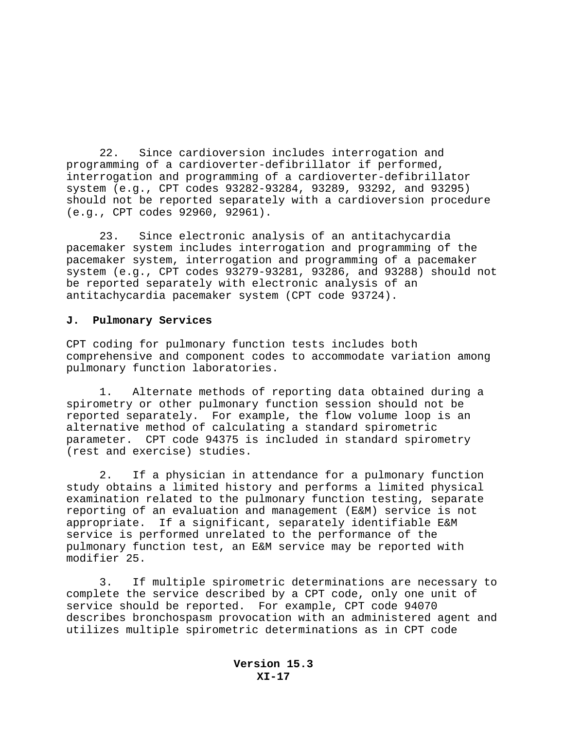22. Since cardioversion includes interrogation and programming of a cardioverter-defibrillator if performed, interrogation and programming of a cardioverter-defibrillator system (e.g., CPT codes 93282-93284, 93289, 93292, and 93295) should not be reported separately with a cardioversion procedure (e.g., CPT codes 92960, 92961).

23. Since electronic analysis of an antitachycardia pacemaker system includes interrogation and programming of the pacemaker system, interrogation and programming of a pacemaker system (e.g., CPT codes 93279-93281, 93286, and 93288) should not be reported separately with electronic analysis of an antitachycardia pacemaker system (CPT code 93724).

### **J. Pulmonary Services**

CPT coding for pulmonary function tests includes both comprehensive and component codes to accommodate variation among pulmonary function laboratories.

1. Alternate methods of reporting data obtained during a spirometry or other pulmonary function session should not be reported separately. For example, the flow volume loop is an alternative method of calculating a standard spirometric parameter. CPT code 94375 is included in standard spirometry (rest and exercise) studies.

2. If a physician in attendance for a pulmonary function study obtains a limited history and performs a limited physical examination related to the pulmonary function testing, separate reporting of an evaluation and management (E&M) service is not appropriate. If a significant, separately identifiable E&M service is performed unrelated to the performance of the pulmonary function test, an E&M service may be reported with modifier 25.

3. If multiple spirometric determinations are necessary to complete the service described by a CPT code, only one unit of service should be reported. For example, CPT code 94070 describes bronchospasm provocation with an administered agent and utilizes multiple spirometric determinations as in CPT code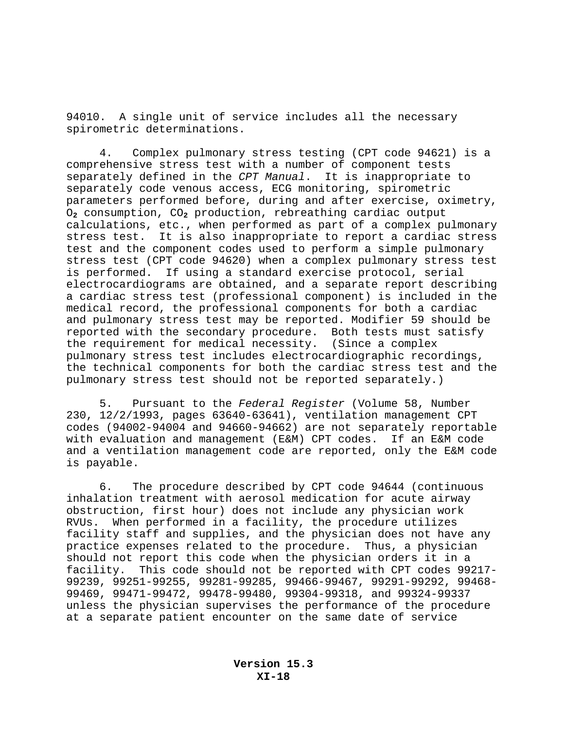94010. A single unit of service includes all the necessary spirometric determinations.

4. Complex pulmonary stress testing (CPT code 94621) is a comprehensive stress test with a number of component tests separately defined in the *CPT Manual*. It is inappropriate to separately code venous access, ECG monitoring, spirometric parameters performed before, during and after exercise, oximetry, O**2** consumption, CO**2** production, rebreathing cardiac output calculations, etc., when performed as part of a complex pulmonary stress test. It is also inappropriate to report a cardiac stress test and the component codes used to perform a simple pulmonary stress test (CPT code 94620) when a complex pulmonary stress test is performed. If using a standard exercise protocol, serial electrocardiograms are obtained, and a separate report describing a cardiac stress test (professional component) is included in the medical record, the professional components for both a cardiac and pulmonary stress test may be reported. Modifier 59 should be reported with the secondary procedure. Both tests must satisfy the requirement for medical necessity. (Since a complex pulmonary stress test includes electrocardiographic recordings, the technical components for both the cardiac stress test and the pulmonary stress test should not be reported separately.)

5. Pursuant to the *Federal Register* (Volume 58, Number 230, 12/2/1993, pages 63640-63641), ventilation management CPT codes (94002-94004 and 94660-94662) are not separately reportable with evaluation and management (E&M) CPT codes. If an E&M code and a ventilation management code are reported, only the E&M code is payable.

6. The procedure described by CPT code 94644 (continuous inhalation treatment with aerosol medication for acute airway obstruction, first hour) does not include any physician work RVUs. When performed in a facility, the procedure utilizes facility staff and supplies, and the physician does not have any practice expenses related to the procedure. Thus, a physician should not report this code when the physician orders it in a facility. This code should not be reported with CPT codes 99217- 99239, 99251-99255, 99281-99285, 99466-99467, 99291-99292, 99468- 99469, 99471-99472, 99478-99480, 99304-99318, and 99324-99337 unless the physician supervises the performance of the procedure at a separate patient encounter on the same date of service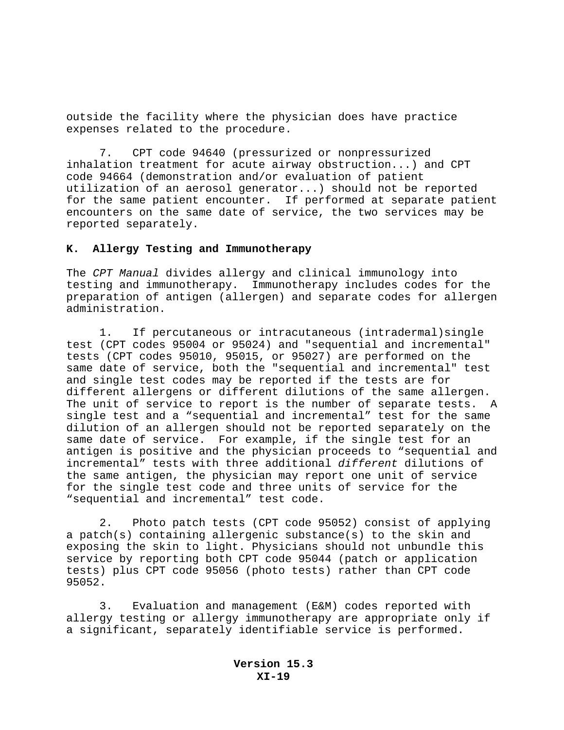outside the facility where the physician does have practice expenses related to the procedure.

7. CPT code 94640 (pressurized or nonpressurized inhalation treatment for acute airway obstruction...) and CPT code 94664 (demonstration and/or evaluation of patient utilization of an aerosol generator...) should not be reported for the same patient encounter. If performed at separate patient encounters on the same date of service, the two services may be reported separately.

#### **K. Allergy Testing and Immunotherapy**

The *CPT Manual* divides allergy and clinical immunology into testing and immunotherapy. Immunotherapy includes codes for the preparation of antigen (allergen) and separate codes for allergen administration.

1. If percutaneous or intracutaneous (intradermal)single test (CPT codes 95004 or 95024) and "sequential and incremental" tests (CPT codes 95010, 95015, or 95027) are performed on the same date of service, both the "sequential and incremental" test and single test codes may be reported if the tests are for different allergens or different dilutions of the same allergen. The unit of service to report is the number of separate tests. A single test and a "sequential and incremental" test for the same dilution of an allergen should not be reported separately on the same date of service. For example, if the single test for an antigen is positive and the physician proceeds to "sequential and incremental" tests with three additional *different* dilutions of the same antigen, the physician may report one unit of service for the single test code and three units of service for the "sequential and incremental" test code.

2. Photo patch tests (CPT code 95052) consist of applying a patch(s) containing allergenic substance(s) to the skin and exposing the skin to light. Physicians should not unbundle this service by reporting both CPT code 95044 (patch or application tests) plus CPT code 95056 (photo tests) rather than CPT code 95052.

3. Evaluation and management (E&M) codes reported with allergy testing or allergy immunotherapy are appropriate only if a significant, separately identifiable service is performed.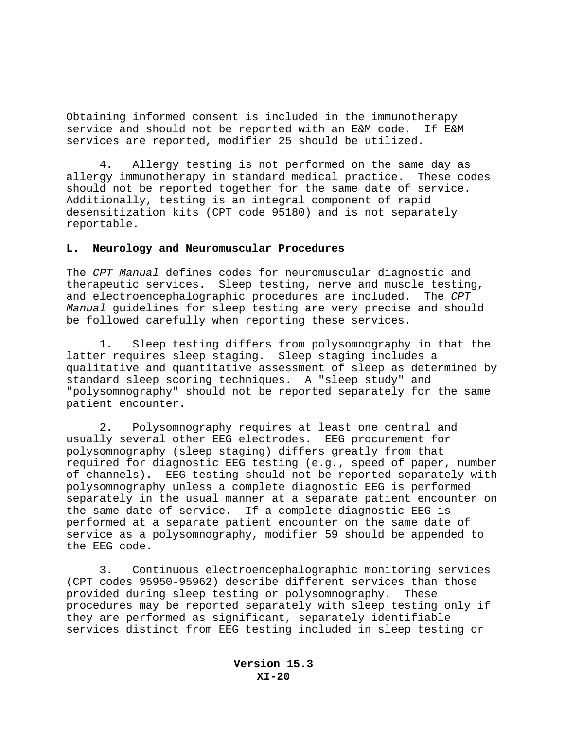Obtaining informed consent is included in the immunotherapy service and should not be reported with an E&M code. If E&M services are reported, modifier 25 should be utilized.

4. Allergy testing is not performed on the same day as allergy immunotherapy in standard medical practice. These codes should not be reported together for the same date of service. Additionally, testing is an integral component of rapid desensitization kits (CPT code 95180) and is not separately reportable.

### **L. Neurology and Neuromuscular Procedures**

The *CPT Manual* defines codes for neuromuscular diagnostic and therapeutic services. Sleep testing, nerve and muscle testing, and electroencephalographic procedures are included. The *CPT Manual* guidelines for sleep testing are very precise and should be followed carefully when reporting these services.

1. Sleep testing differs from polysomnography in that the latter requires sleep staging. Sleep staging includes a qualitative and quantitative assessment of sleep as determined by standard sleep scoring techniques. A "sleep study" and "polysomnography" should not be reported separately for the same patient encounter.

2. Polysomnography requires at least one central and usually several other EEG electrodes. EEG procurement for polysomnography (sleep staging) differs greatly from that required for diagnostic EEG testing (e.g., speed of paper, number of channels). EEG testing should not be reported separately with polysomnography unless a complete diagnostic EEG is performed separately in the usual manner at a separate patient encounter on the same date of service. If a complete diagnostic EEG is performed at a separate patient encounter on the same date of service as a polysomnography, modifier 59 should be appended to the EEG code.

3. Continuous electroencephalographic monitoring services (CPT codes 95950-95962) describe different services than those provided during sleep testing or polysomnography. These procedures may be reported separately with sleep testing only if they are performed as significant, separately identifiable services distinct from EEG testing included in sleep testing or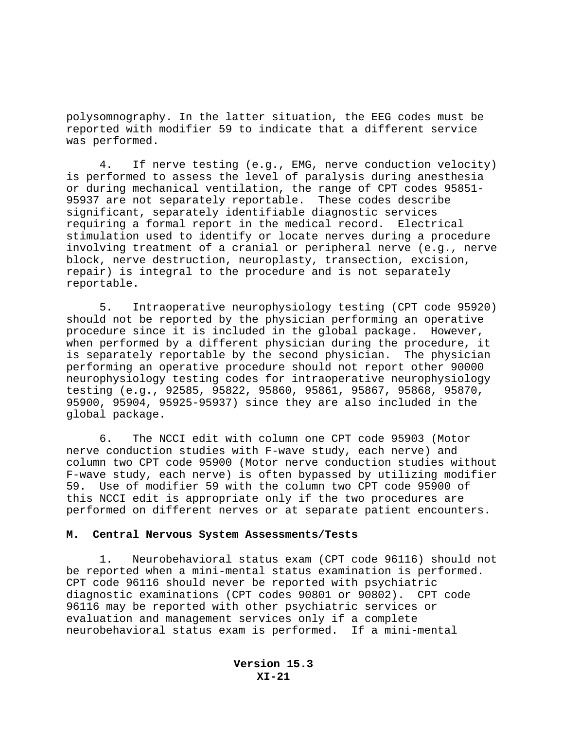polysomnography. In the latter situation, the EEG codes must be reported with modifier 59 to indicate that a different service was performed.

4. If nerve testing (e.g., EMG, nerve conduction velocity) is performed to assess the level of paralysis during anesthesia or during mechanical ventilation, the range of CPT codes 95851- 95937 are not separately reportable. These codes describe significant, separately identifiable diagnostic services requiring a formal report in the medical record. Electrical stimulation used to identify or locate nerves during a procedure involving treatment of a cranial or peripheral nerve (e.g., nerve block, nerve destruction, neuroplasty, transection, excision, repair) is integral to the procedure and is not separately reportable.

5.Intraoperative neurophysiology testing (CPT code 95920) should not be reported by the physician performing an operative procedure since it is included in the global package. However, when performed by a different physician during the procedure, it is separately reportable by the second physician. The physician performing an operative procedure should not report other 90000 neurophysiology testing codes for intraoperative neurophysiology testing (e.g., 92585, 95822, 95860, 95861, 95867, 95868, 95870, 95900, 95904, 95925-95937) since they are also included in the global package.

6.The NCCI edit with column one CPT code 95903 (Motor nerve conduction studies with F-wave study, each nerve) and column two CPT code 95900 (Motor nerve conduction studies without F-wave study, each nerve) is often bypassed by utilizing modifier 59. Use of modifier 59 with the column two CPT code 95900 of this NCCI edit is appropriate only if the two procedures are performed on different nerves or at separate patient encounters.

#### **M. Central Nervous System Assessments/Tests**

1. Neurobehavioral status exam (CPT code 96116) should not be reported when a mini-mental status examination is performed. CPT code 96116 should never be reported with psychiatric diagnostic examinations (CPT codes 90801 or 90802). CPT code 96116 may be reported with other psychiatric services or evaluation and management services only if a complete neurobehavioral status exam is performed. If a mini-mental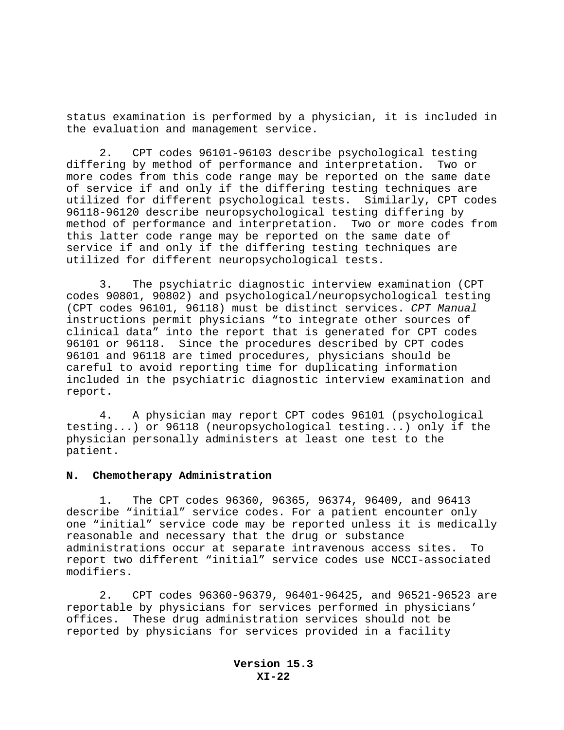status examination is performed by a physician, it is included in the evaluation and management service.

2. CPT codes 96101-96103 describe psychological testing differing by method of performance and interpretation. Two or more codes from this code range may be reported on the same date of service if and only if the differing testing techniques are utilized for different psychological tests. Similarly, CPT codes 96118-96120 describe neuropsychological testing differing by method of performance and interpretation. Two or more codes from this latter code range may be reported on the same date of service if and only if the differing testing techniques are utilized for different neuropsychological tests.

3. The psychiatric diagnostic interview examination (CPT codes 90801, 90802) and psychological/neuropsychological testing (CPT codes 96101, 96118) must be distinct services. *CPT Manual* instructions permit physicians "to integrate other sources of clinical data" into the report that is generated for CPT codes 96101 or 96118. Since the procedures described by CPT codes 96101 and 96118 are timed procedures, physicians should be careful to avoid reporting time for duplicating information included in the psychiatric diagnostic interview examination and report.

4. A physician may report CPT codes 96101 (psychological testing...) or 96118 (neuropsychological testing...) only if the physician personally administers at least one test to the patient.

#### **N. Chemotherapy Administration**

1. The CPT codes 96360, 96365, 96374, 96409, and 96413 describe "initial" service codes. For a patient encounter only one "initial" service code may be reported unless it is medically reasonable and necessary that the drug or substance administrations occur at separate intravenous access sites. To report two different "initial" service codes use NCCI-associated modifiers.

2. CPT codes 96360-96379, 96401-96425, and 96521-96523 are reportable by physicians for services performed in physicians' offices. These drug administration services should not be reported by physicians for services provided in a facility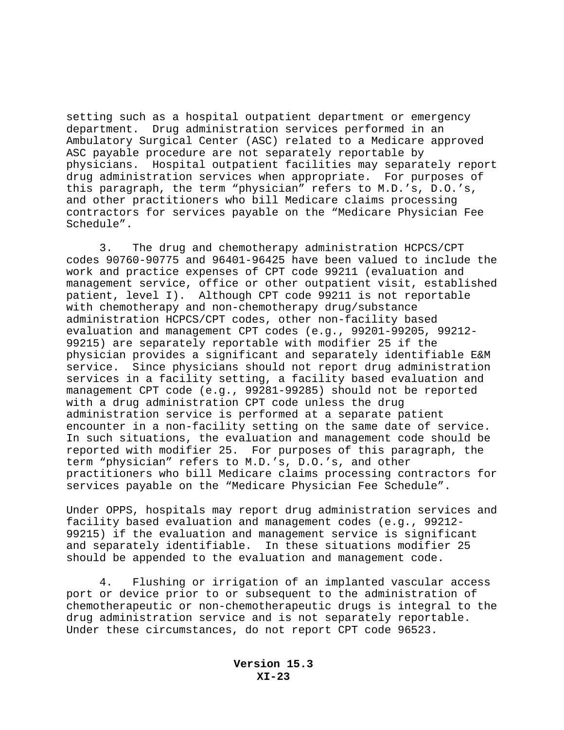setting such as a hospital outpatient department or emergency department. Drug administration services performed in an Ambulatory Surgical Center (ASC) related to a Medicare approved ASC payable procedure are not separately reportable by physicians. Hospital outpatient facilities may separately report drug administration services when appropriate. For purposes of this paragraph, the term "physician" refers to M.D.'s, D.O.'s, and other practitioners who bill Medicare claims processing contractors for services payable on the "Medicare Physician Fee Schedule".

3. The drug and chemotherapy administration HCPCS/CPT codes 90760-90775 and 96401-96425 have been valued to include the work and practice expenses of CPT code 99211 (evaluation and management service, office or other outpatient visit, established patient, level I). Although CPT code 99211 is not reportable with chemotherapy and non-chemotherapy drug/substance administration HCPCS/CPT codes, other non-facility based evaluation and management CPT codes (e.g., 99201-99205, 99212- 99215) are separately reportable with modifier 25 if the physician provides a significant and separately identifiable E&M service. Since physicians should not report drug administration services in a facility setting, a facility based evaluation and management CPT code (e.g., 99281-99285) should not be reported with a drug administration CPT code unless the drug administration service is performed at a separate patient encounter in a non-facility setting on the same date of service. In such situations, the evaluation and management code should be reported with modifier 25. For purposes of this paragraph, the term "physician" refers to M.D.'s, D.O.'s, and other practitioners who bill Medicare claims processing contractors for services payable on the "Medicare Physician Fee Schedule".

Under OPPS, hospitals may report drug administration services and facility based evaluation and management codes (e.g., 99212- 99215) if the evaluation and management service is significant and separately identifiable. In these situations modifier 25 should be appended to the evaluation and management code.

4. Flushing or irrigation of an implanted vascular access port or device prior to or subsequent to the administration of chemotherapeutic or non-chemotherapeutic drugs is integral to the drug administration service and is not separately reportable. Under these circumstances, do not report CPT code 96523.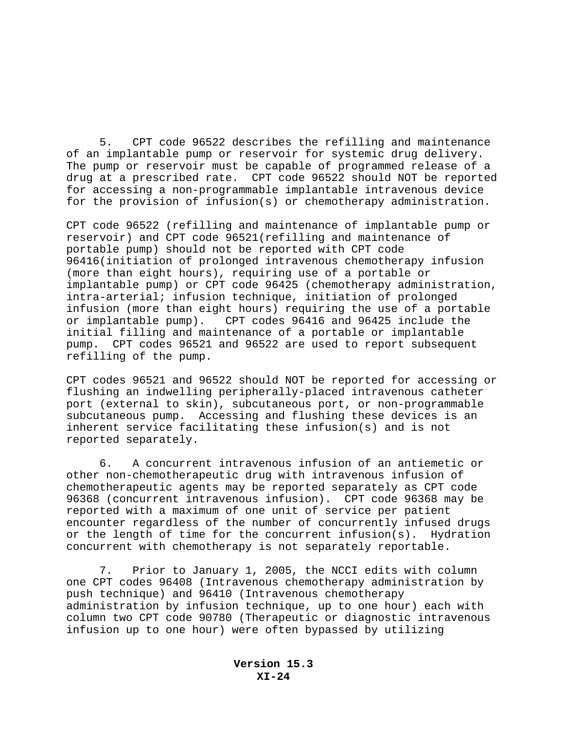5. CPT code 96522 describes the refilling and maintenance of an implantable pump or reservoir for systemic drug delivery. The pump or reservoir must be capable of programmed release of a drug at a prescribed rate. CPT code 96522 should NOT be reported for accessing a non-programmable implantable intravenous device for the provision of infusion(s) or chemotherapy administration.

CPT code 96522 (refilling and maintenance of implantable pump or reservoir) and CPT code 96521(refilling and maintenance of portable pump) should not be reported with CPT code 96416(initiation of prolonged intravenous chemotherapy infusion (more than eight hours), requiring use of a portable or implantable pump) or CPT code 96425 (chemotherapy administration, intra-arterial; infusion technique, initiation of prolonged infusion (more than eight hours) requiring the use of a portable or implantable pump). CPT codes 96416 and 96425 include the initial filling and maintenance of a portable or implantable pump. CPT codes 96521 and 96522 are used to report subsequent refilling of the pump.

CPT codes 96521 and 96522 should NOT be reported for accessing or flushing an indwelling peripherally-placed intravenous catheter port (external to skin), subcutaneous port, or non-programmable subcutaneous pump. Accessing and flushing these devices is an inherent service facilitating these infusion(s) and is not reported separately.

6. A concurrent intravenous infusion of an antiemetic or other non-chemotherapeutic drug with intravenous infusion of chemotherapeutic agents may be reported separately as CPT code 96368 (concurrent intravenous infusion). CPT code 96368 may be reported with a maximum of one unit of service per patient encounter regardless of the number of concurrently infused drugs or the length of time for the concurrent infusion(s). Hydration concurrent with chemotherapy is not separately reportable.

7. Prior to January 1, 2005, the NCCI edits with column one CPT codes 96408 (Intravenous chemotherapy administration by push technique) and 96410 (Intravenous chemotherapy administration by infusion technique, up to one hour) each with column two CPT code 90780 (Therapeutic or diagnostic intravenous infusion up to one hour) were often bypassed by utilizing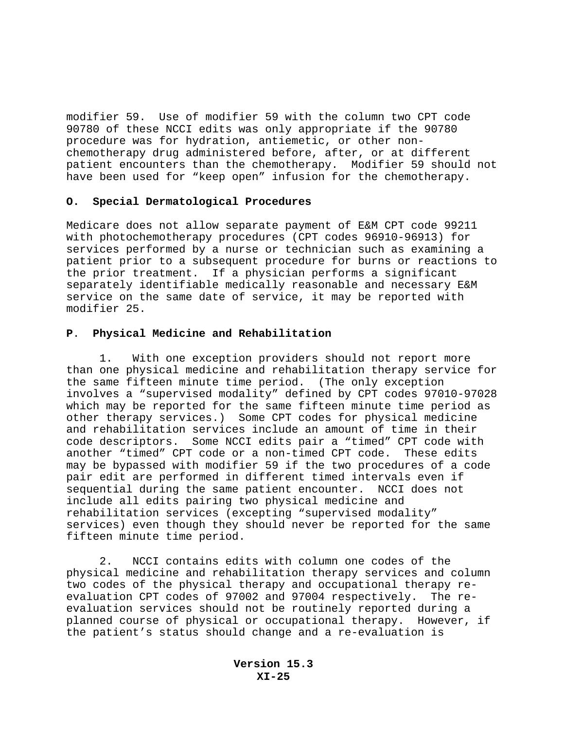modifier 59. Use of modifier 59 with the column two CPT code 90780 of these NCCI edits was only appropriate if the 90780 procedure was for hydration, antiemetic, or other nonchemotherapy drug administered before, after, or at different patient encounters than the chemotherapy. Modifier 59 should not have been used for "keep open" infusion for the chemotherapy.

### **O. Special Dermatological Procedures**

Medicare does not allow separate payment of E&M CPT code 99211 with photochemotherapy procedures (CPT codes 96910-96913) for services performed by a nurse or technician such as examining a patient prior to a subsequent procedure for burns or reactions to the prior treatment. If a physician performs a significant separately identifiable medically reasonable and necessary E&M service on the same date of service, it may be reported with modifier 25.

## **P**. **Physical Medicine and Rehabilitation**

1. With one exception providers should not report more than one physical medicine and rehabilitation therapy service for the same fifteen minute time period. (The only exception involves a "supervised modality" defined by CPT codes 97010-97028 which may be reported for the same fifteen minute time period as other therapy services.) Some CPT codes for physical medicine and rehabilitation services include an amount of time in their code descriptors. Some NCCI edits pair a "timed" CPT code with another "timed" CPT code or a non-timed CPT code. These edits may be bypassed with modifier 59 if the two procedures of a code pair edit are performed in different timed intervals even if sequential during the same patient encounter. NCCI does not include all edits pairing two physical medicine and rehabilitation services (excepting "supervised modality" services) even though they should never be reported for the same fifteen minute time period.

2. NCCI contains edits with column one codes of the physical medicine and rehabilitation therapy services and column two codes of the physical therapy and occupational therapy reevaluation CPT codes of 97002 and 97004 respectively. The reevaluation services should not be routinely reported during a planned course of physical or occupational therapy. However, if the patient's status should change and a re-evaluation is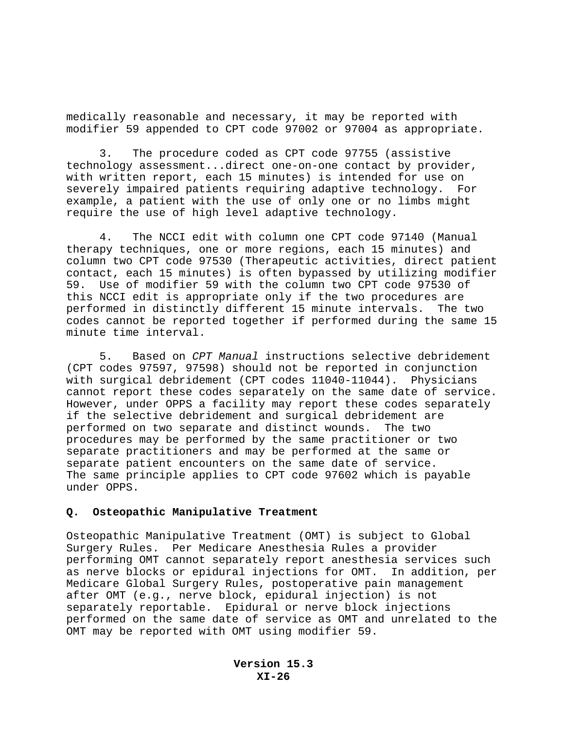medically reasonable and necessary, it may be reported with modifier 59 appended to CPT code 97002 or 97004 as appropriate.

3. The procedure coded as CPT code 97755 (assistive technology assessment...direct one-on-one contact by provider, with written report, each 15 minutes) is intended for use on severely impaired patients requiring adaptive technology. For example, a patient with the use of only one or no limbs might require the use of high level adaptive technology.

4. The NCCI edit with column one CPT code 97140 (Manual therapy techniques, one or more regions, each 15 minutes) and column two CPT code 97530 (Therapeutic activities, direct patient contact, each 15 minutes) is often bypassed by utilizing modifier 59. Use of modifier 59 with the column two CPT code 97530 of this NCCI edit is appropriate only if the two procedures are performed in distinctly different 15 minute intervals. The two codes cannot be reported together if performed during the same 15 minute time interval.

5. Based on *CPT Manual* instructions selective debridement (CPT codes 97597, 97598) should not be reported in conjunction with surgical debridement (CPT codes 11040-11044). Physicians cannot report these codes separately on the same date of service. However, under OPPS a facility may report these codes separately if the selective debridement and surgical debridement are performed on two separate and distinct wounds. The two procedures may be performed by the same practitioner or two separate practitioners and may be performed at the same or separate patient encounters on the same date of service. The same principle applies to CPT code 97602 which is payable under OPPS.

#### **Q. Osteopathic Manipulative Treatment**

Osteopathic Manipulative Treatment (OMT) is subject to Global Surgery Rules. Per Medicare Anesthesia Rules a provider performing OMT cannot separately report anesthesia services such as nerve blocks or epidural injections for OMT. In addition, per Medicare Global Surgery Rules, postoperative pain management after OMT (e.g., nerve block, epidural injection) is not separately reportable. Epidural or nerve block injections performed on the same date of service as OMT and unrelated to the OMT may be reported with OMT using modifier 59.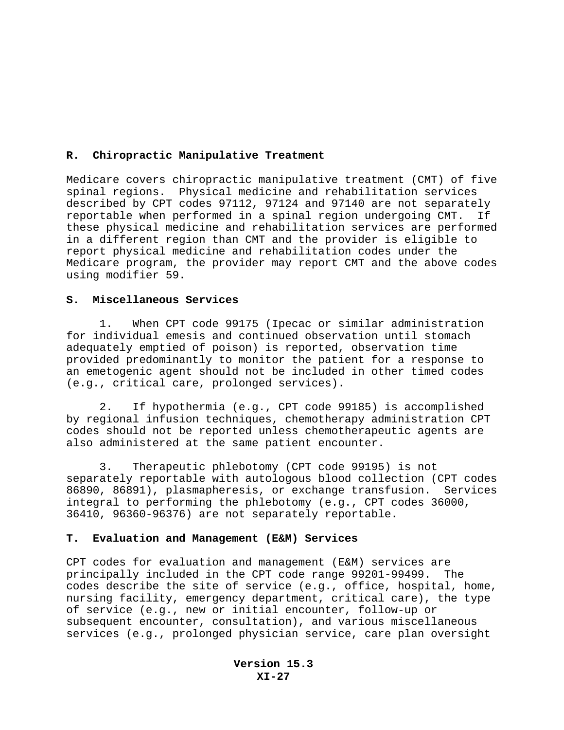## **R. Chiropractic Manipulative Treatment**

Medicare covers chiropractic manipulative treatment (CMT) of five spinal regions. Physical medicine and rehabilitation services described by CPT codes 97112, 97124 and 97140 are not separately reportable when performed in a spinal region undergoing CMT. If these physical medicine and rehabilitation services are performed in a different region than CMT and the provider is eligible to report physical medicine and rehabilitation codes under the Medicare program, the provider may report CMT and the above codes using modifier 59.

### **S. Miscellaneous Services**

1. When CPT code 99175 (Ipecac or similar administration for individual emesis and continued observation until stomach adequately emptied of poison) is reported, observation time provided predominantly to monitor the patient for a response to an emetogenic agent should not be included in other timed codes (e.g., critical care, prolonged services).

2. If hypothermia (e.g., CPT code 99185) is accomplished by regional infusion techniques, chemotherapy administration CPT codes should not be reported unless chemotherapeutic agents are also administered at the same patient encounter.

3. Therapeutic phlebotomy (CPT code 99195) is not separately reportable with autologous blood collection (CPT codes 86890, 86891), plasmapheresis, or exchange transfusion. Services integral to performing the phlebotomy (e.g., CPT codes 36000, 36410, 96360-96376) are not separately reportable.

#### **T. Evaluation and Management (E&M) Services**

CPT codes for evaluation and management (E&M) services are principally included in the CPT code range 99201-99499. The codes describe the site of service (e.g., office, hospital, home, nursing facility, emergency department, critical care), the type of service (e.g., new or initial encounter, follow-up or subsequent encounter, consultation), and various miscellaneous services (e.g., prolonged physician service, care plan oversight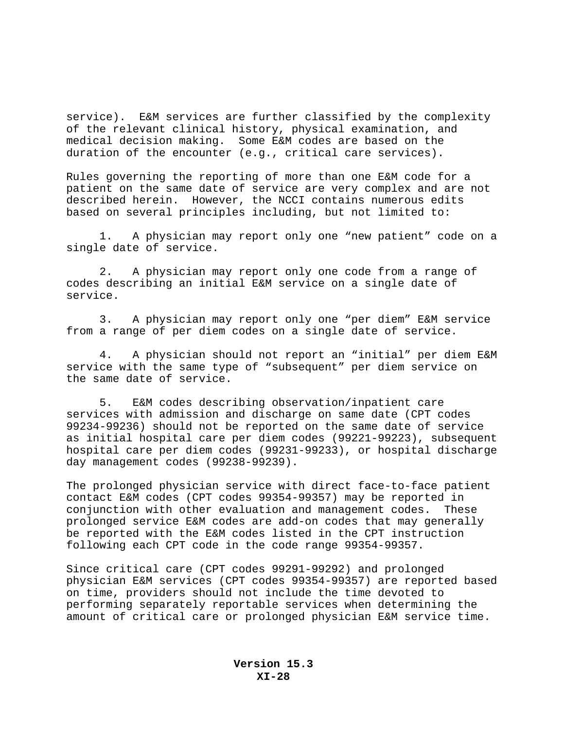service). E&M services are further classified by the complexity of the relevant clinical history, physical examination, and medical decision making.Some E&M codes are based on the duration of the encounter (e.g., critical care services).

Rules governing the reporting of more than one E&M code for a patient on the same date of service are very complex and are not described herein. However, the NCCI contains numerous edits based on several principles including, but not limited to:

1. A physician may report only one "new patient" code on a single date of service.

2. A physician may report only one code from a range of codes describing an initial E&M service on a single date of service.

3. A physician may report only one "per diem" E&M service from a range of per diem codes on a single date of service.

4. A physician should not report an "initial" per diem E&M service with the same type of "subsequent" per diem service on the same date of service.

5. E&M codes describing observation/inpatient care services with admission and discharge on same date (CPT codes 99234-99236) should not be reported on the same date of service as initial hospital care per diem codes (99221-99223), subsequent hospital care per diem codes (99231-99233), or hospital discharge day management codes (99238-99239).

The prolonged physician service with direct face-to-face patient contact E&M codes (CPT codes 99354-99357) may be reported in conjunction with other evaluation and management codes. These prolonged service E&M codes are add-on codes that may generally be reported with the E&M codes listed in the CPT instruction following each CPT code in the code range 99354-99357.

Since critical care (CPT codes 99291-99292) and prolonged physician E&M services (CPT codes 99354-99357) are reported based on time, providers should not include the time devoted to performing separately reportable services when determining the amount of critical care or prolonged physician E&M service time.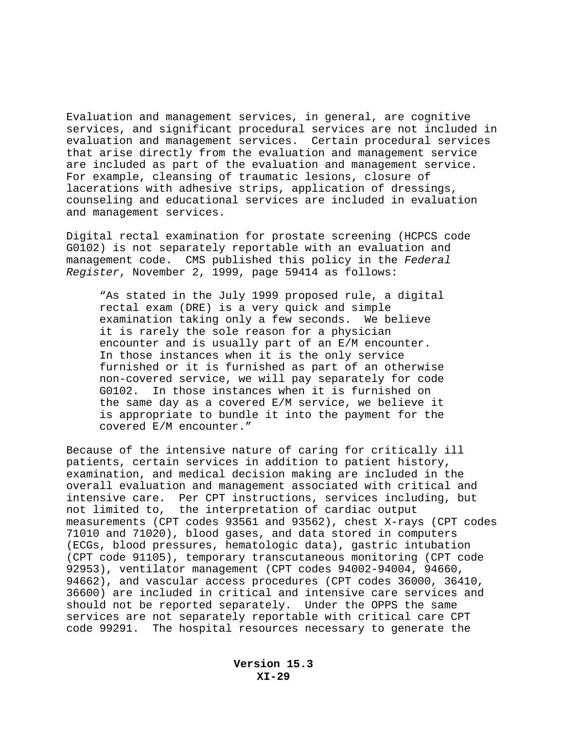Evaluation and management services, in general, are cognitive services, and significant procedural services are not included in evaluation and management services. Certain procedural services that arise directly from the evaluation and management service are included as part of the evaluation and management service. For example, cleansing of traumatic lesions, closure of lacerations with adhesive strips, application of dressings, counseling and educational services are included in evaluation and management services.

Digital rectal examination for prostate screening (HCPCS code G0102) is not separately reportable with an evaluation and management code. CMS published this policy in the *Federal Register*, November 2, 1999, page 59414 as follows:

"As stated in the July 1999 proposed rule, a digital rectal exam (DRE) is a very quick and simple examination taking only a few seconds. We believe it is rarely the sole reason for a physician encounter and is usually part of an E/M encounter. In those instances when it is the only service furnished or it is furnished as part of an otherwise non-covered service, we will pay separately for code G0102. In those instances when it is furnished on the same day as a covered E/M service, we believe it is appropriate to bundle it into the payment for the covered E/M encounter."

Because of the intensive nature of caring for critically ill patients, certain services in addition to patient history, examination, and medical decision making are included in the overall evaluation and management associated with critical and intensive care. Per CPT instructions, services including, but not limited to, the interpretation of cardiac output measurements (CPT codes 93561 and 93562), chest X-rays (CPT codes 71010 and 71020), blood gases, and data stored in computers (ECGs, blood pressures, hematologic data), gastric intubation (CPT code 91105), temporary transcutaneous monitoring (CPT code 92953), ventilator management (CPT codes 94002-94004, 94660, 94662), and vascular access procedures (CPT codes 36000, 36410, 36600) are included in critical and intensive care services and should not be reported separately. Under the OPPS the same services are not separately reportable with critical care CPT code 99291. The hospital resources necessary to generate the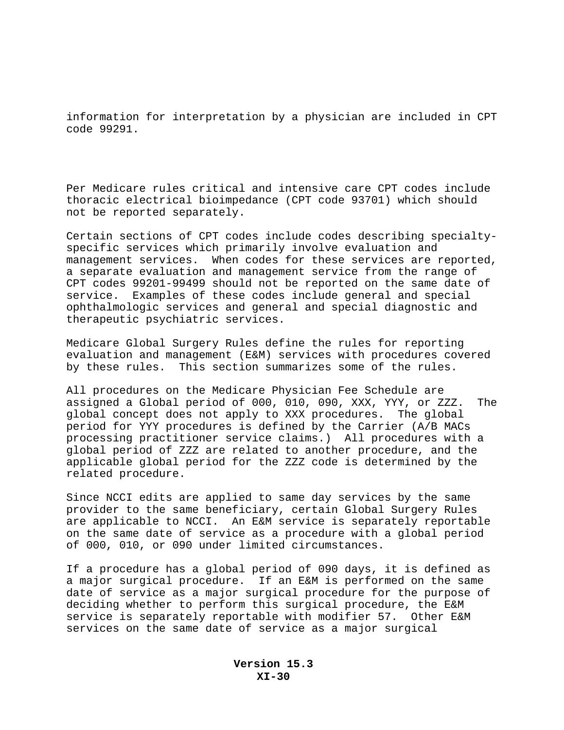information for interpretation by a physician are included in CPT code 99291.

Per Medicare rules critical and intensive care CPT codes include thoracic electrical bioimpedance (CPT code 93701) which should not be reported separately.

Certain sections of CPT codes include codes describing specialtyspecific services which primarily involve evaluation and management services. When codes for these services are reported, a separate evaluation and management service from the range of CPT codes 99201-99499 should not be reported on the same date of service. Examples of these codes include general and special ophthalmologic services and general and special diagnostic and therapeutic psychiatric services.

Medicare Global Surgery Rules define the rules for reporting evaluation and management (E&M) services with procedures covered by these rules. This section summarizes some of the rules.

All procedures on the Medicare Physician Fee Schedule are assigned a Global period of 000, 010, 090, XXX, YYY, or ZZZ. The global concept does not apply to XXX procedures. The global period for YYY procedures is defined by the Carrier (A/B MACs processing practitioner service claims.) All procedures with a global period of ZZZ are related to another procedure, and the applicable global period for the ZZZ code is determined by the related procedure.

Since NCCI edits are applied to same day services by the same provider to the same beneficiary, certain Global Surgery Rules are applicable to NCCI. An E&M service is separately reportable on the same date of service as a procedure with a global period of 000, 010, or 090 under limited circumstances.

If a procedure has a global period of 090 days, it is defined as a major surgical procedure. If an E&M is performed on the same date of service as a major surgical procedure for the purpose of deciding whether to perform this surgical procedure, the E&M service is separately reportable with modifier 57. Other E&M services on the same date of service as a major surgical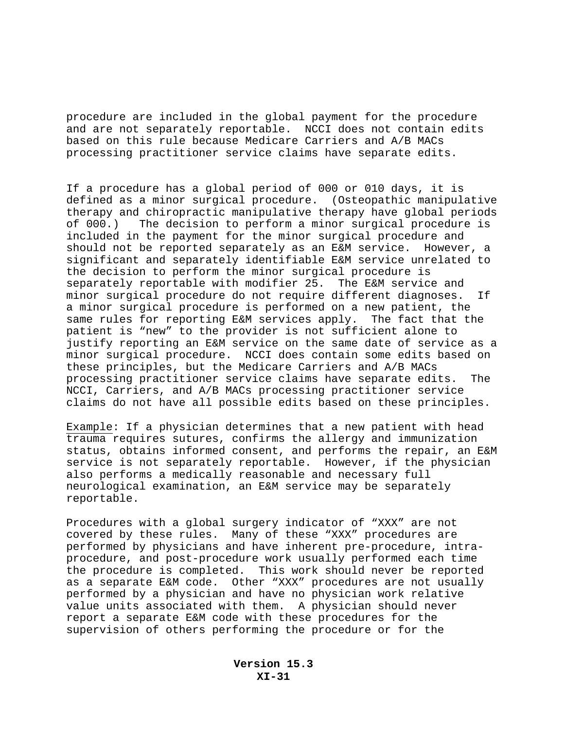procedure are included in the global payment for the procedure and are not separately reportable. NCCI does not contain edits based on this rule because Medicare Carriers and A/B MACs processing practitioner service claims have separate edits.

If a procedure has a global period of 000 or 010 days, it is defined as a minor surgical procedure. (Osteopathic manipulative therapy and chiropractic manipulative therapy have global periods of 000.) The decision to perform a minor surgical procedure is included in the payment for the minor surgical procedure and should not be reported separately as an E&M service. However, a significant and separately identifiable E&M service unrelated to the decision to perform the minor surgical procedure is separately reportable with modifier 25. The E&M service and minor surgical procedure do not require different diagnoses.If a minor surgical procedure is performed on a new patient, the same rules for reporting E&M services apply. The fact that the patient is "new" to the provider is not sufficient alone to justify reporting an E&M service on the same date of service as a minor surgical procedure. NCCI does contain some edits based on these principles, but the Medicare Carriers and A/B MACs processing practitioner service claims have separate edits. The NCCI, Carriers, and A/B MACs processing practitioner service claims do not have all possible edits based on these principles.

Example: If a physician determines that a new patient with head trauma requires sutures, confirms the allergy and immunization status, obtains informed consent, and performs the repair, an E&M service is not separately reportable. However, if the physician also performs a medically reasonable and necessary full neurological examination, an E&M service may be separately reportable.

Procedures with a global surgery indicator of "XXX" are not covered by these rules. Many of these "XXX" procedures are performed by physicians and have inherent pre-procedure, intraprocedure, and post-procedure work usually performed each time the procedure is completed. This work should never be reported as a separate E&M code. Other "XXX" procedures are not usually performed by a physician and have no physician work relative value units associated with them. A physician should never report a separate E&M code with these procedures for the supervision of others performing the procedure or for the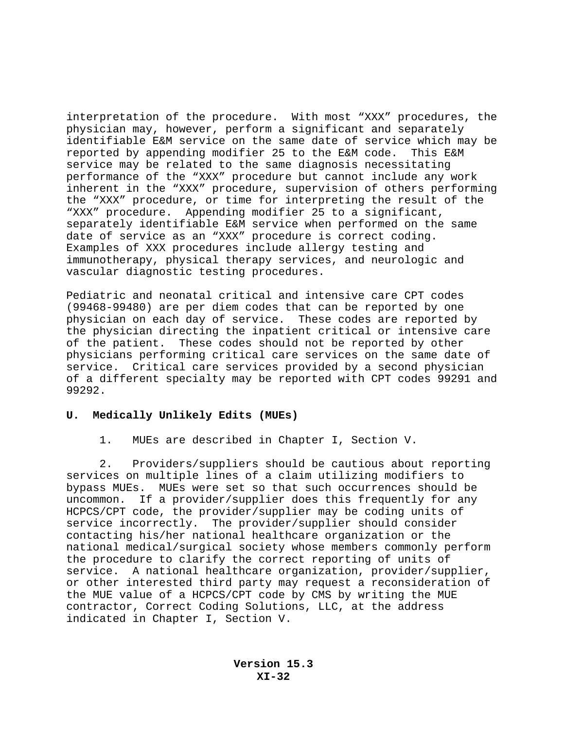interpretation of the procedure. With most "XXX" procedures, the physician may, however, perform a significant and separately identifiable E&M service on the same date of service which may be reported by appending modifier 25 to the E&M code. This E&M service may be related to the same diagnosis necessitating performance of the "XXX" procedure but cannot include any work inherent in the "XXX" procedure, supervision of others performing the "XXX" procedure, or time for interpreting the result of the "XXX" procedure. Appending modifier 25 to a significant, separately identifiable E&M service when performed on the same date of service as an "XXX" procedure is correct coding. Examples of XXX procedures include allergy testing and immunotherapy, physical therapy services, and neurologic and vascular diagnostic testing procedures.

Pediatric and neonatal critical and intensive care CPT codes (99468-99480) are per diem codes that can be reported by one physician on each day of service. These codes are reported by the physician directing the inpatient critical or intensive care of the patient. These codes should not be reported by other physicians performing critical care services on the same date of service. Critical care services provided by a second physician of a different specialty may be reported with CPT codes 99291 and 99292.

## **U. Medically Unlikely Edits (MUEs)**

1. MUEs are described in Chapter I, Section V.

2. Providers/suppliers should be cautious about reporting services on multiple lines of a claim utilizing modifiers to bypass MUEs. MUEs were set so that such occurrences should be uncommon. If a provider/supplier does this frequently for any HCPCS/CPT code, the provider/supplier may be coding units of service incorrectly. The provider/supplier should consider contacting his/her national healthcare organization or the national medical/surgical society whose members commonly perform the procedure to clarify the correct reporting of units of service. A national healthcare organization, provider/supplier, or other interested third party may request a reconsideration of the MUE value of a HCPCS/CPT code by CMS by writing the MUE contractor, Correct Coding Solutions, LLC, at the address indicated in Chapter I, Section V.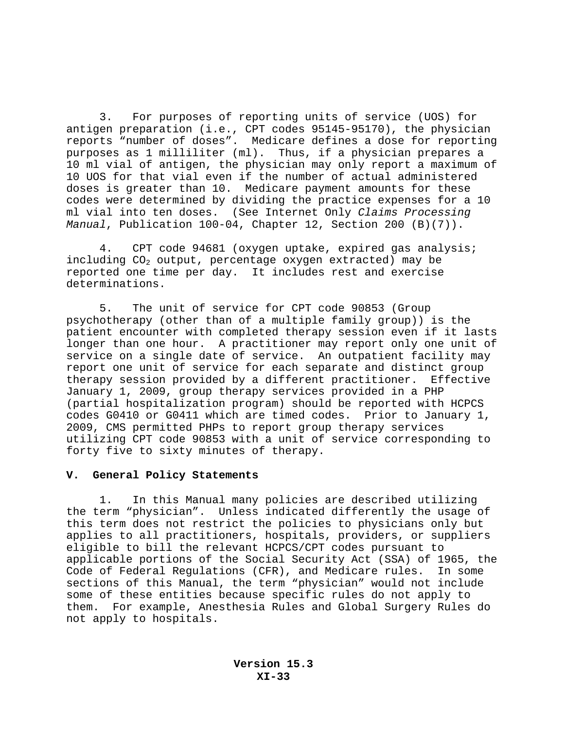3. For purposes of reporting units of service (UOS) for antigen preparation (i.e., CPT codes 95145-95170), the physician reports "number of doses". Medicare defines a dose for reporting purposes as 1 milliliter (ml). Thus, if a physician prepares a 10 ml vial of antigen, the physician may only report a maximum of 10 UOS for that vial even if the number of actual administered doses is greater than 10. Medicare payment amounts for these codes were determined by dividing the practice expenses for a 10 ml vial into ten doses. (See Internet Only *Claims Processing Manual*, Publication 100-04, Chapter 12, Section 200 (B)(7)).

4. CPT code 94681 (oxygen uptake, expired gas analysis; including CO<sub>2</sub> output, percentage oxygen extracted) may be reported one time per day. It includes rest and exercise determinations.

5. The unit of service for CPT code 90853 (Group psychotherapy (other than of a multiple family group)) is the patient encounter with completed therapy session even if it lasts longer than one hour. A practitioner may report only one unit of service on a single date of service. An outpatient facility may report one unit of service for each separate and distinct group therapy session provided by a different practitioner. Effective January 1, 2009, group therapy services provided in a PHP (partial hospitalization program) should be reported with HCPCS codes G0410 or G0411 which are timed codes. Prior to January 1, 2009, CMS permitted PHPs to report group therapy services utilizing CPT code 90853 with a unit of service corresponding to forty five to sixty minutes of therapy.

#### **V. General Policy Statements**

1. In this Manual many policies are described utilizing the term "physician". Unless indicated differently the usage of this term does not restrict the policies to physicians only but applies to all practitioners, hospitals, providers, or suppliers eligible to bill the relevant HCPCS/CPT codes pursuant to applicable portions of the Social Security Act (SSA) of 1965, the Code of Federal Regulations (CFR), and Medicare rules. In some sections of this Manual, the term "physician" would not include some of these entities because specific rules do not apply to them. For example, Anesthesia Rules and Global Surgery Rules do not apply to hospitals.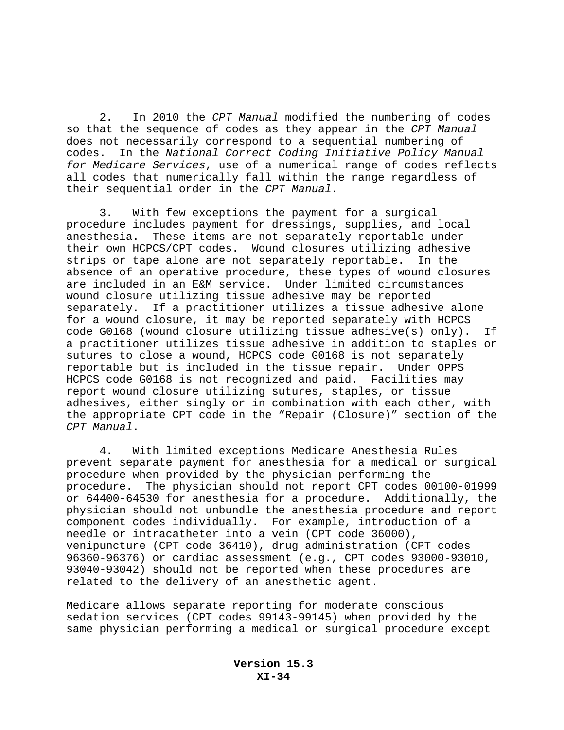2. In 2010 the *CPT Manual* modified the numbering of codes so that the sequence of codes as they appear in the *CPT Manual* does not necessarily correspond to a sequential numbering of codes. In the *National Correct Coding Initiative Policy Manual for Medicare Services*, use of a numerical range of codes reflects all codes that numerically fall within the range regardless of their sequential order in the *CPT Manual.*

3. With few exceptions the payment for a surgical procedure includes payment for dressings, supplies, and local anesthesia. These items are not separately reportable under their own HCPCS/CPT codes. Wound closures utilizing adhesive strips or tape alone are not separately reportable. In the absence of an operative procedure, these types of wound closures are included in an E&M service. Under limited circumstances wound closure utilizing tissue adhesive may be reported separately. If a practitioner utilizes a tissue adhesive alone for a wound closure, it may be reported separately with HCPCS code G0168 (wound closure utilizing tissue adhesive(s) only). If a practitioner utilizes tissue adhesive in addition to staples or sutures to close a wound, HCPCS code G0168 is not separately reportable but is included in the tissue repair. Under OPPS HCPCS code G0168 is not recognized and paid. Facilities may report wound closure utilizing sutures, staples, or tissue adhesives, either singly or in combination with each other, with the appropriate CPT code in the "Repair (Closure)" section of the *CPT Manual*.

4. With limited exceptions Medicare Anesthesia Rules prevent separate payment for anesthesia for a medical or surgical procedure when provided by the physician performing the procedure. The physician should not report CPT codes 00100-01999 or 64400-64530 for anesthesia for a procedure. Additionally, the physician should not unbundle the anesthesia procedure and report component codes individually. For example, introduction of a needle or intracatheter into a vein (CPT code 36000), venipuncture (CPT code 36410), drug administration (CPT codes 96360-96376) or cardiac assessment (e.g., CPT codes 93000-93010, 93040-93042) should not be reported when these procedures are related to the delivery of an anesthetic agent.

Medicare allows separate reporting for moderate conscious sedation services (CPT codes 99143-99145) when provided by the same physician performing a medical or surgical procedure except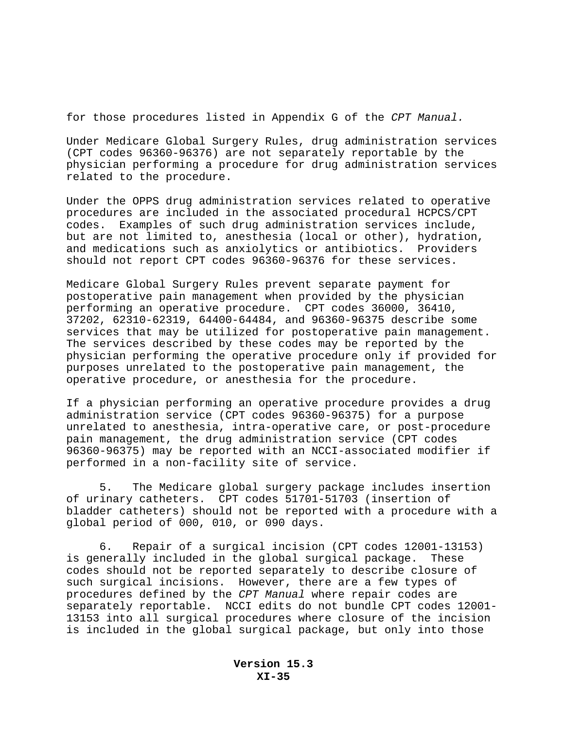for those procedures listed in Appendix G of the *CPT Manual.* 

Under Medicare Global Surgery Rules, drug administration services (CPT codes 96360-96376) are not separately reportable by the physician performing a procedure for drug administration services related to the procedure.

Under the OPPS drug administration services related to operative procedures are included in the associated procedural HCPCS/CPT codes. Examples of such drug administration services include, but are not limited to, anesthesia (local or other), hydration, and medications such as anxiolytics or antibiotics. Providers should not report CPT codes 96360-96376 for these services.

Medicare Global Surgery Rules prevent separate payment for postoperative pain management when provided by the physician performing an operative procedure. CPT codes 36000, 36410, 37202, 62310-62319, 64400-64484, and 96360-96375 describe some services that may be utilized for postoperative pain management. The services described by these codes may be reported by the physician performing the operative procedure only if provided for purposes unrelated to the postoperative pain management, the operative procedure, or anesthesia for the procedure.

If a physician performing an operative procedure provides a drug administration service (CPT codes 96360-96375) for a purpose unrelated to anesthesia, intra-operative care, or post-procedure pain management, the drug administration service (CPT codes 96360-96375) may be reported with an NCCI-associated modifier if performed in a non-facility site of service.

5. The Medicare global surgery package includes insertion of urinary catheters. CPT codes 51701-51703 (insertion of bladder catheters) should not be reported with a procedure with a global period of 000, 010, or 090 days.

6. Repair of a surgical incision (CPT codes 12001-13153) is generally included in the global surgical package. These codes should not be reported separately to describe closure of such surgical incisions. However, there are a few types of procedures defined by the *CPT Manual* where repair codes are separately reportable. NCCI edits do not bundle CPT codes 12001- 13153 into all surgical procedures where closure of the incision is included in the global surgical package, but only into those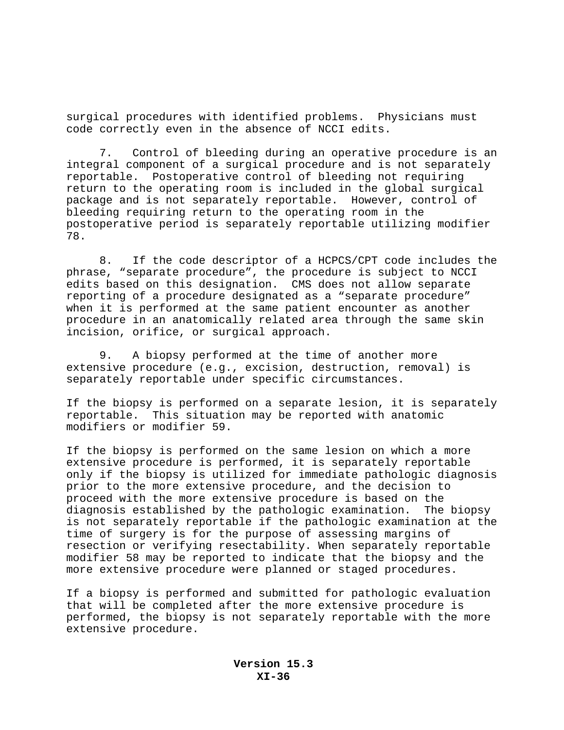surgical procedures with identified problems. Physicians must code correctly even in the absence of NCCI edits.

7. Control of bleeding during an operative procedure is an integral component of a surgical procedure and is not separately reportable. Postoperative control of bleeding not requiring return to the operating room is included in the global surgical package and is not separately reportable. However, control of bleeding requiring return to the operating room in the postoperative period is separately reportable utilizing modifier 78.

8. If the code descriptor of a HCPCS/CPT code includes the phrase, "separate procedure", the procedure is subject to NCCI edits based on this designation. CMS does not allow separate reporting of a procedure designated as a "separate procedure" when it is performed at the same patient encounter as another procedure in an anatomically related area through the same skin incision, orifice, or surgical approach.

9. A biopsy performed at the time of another more extensive procedure (e.g., excision, destruction, removal) is separately reportable under specific circumstances.

If the biopsy is performed on a separate lesion, it is separately reportable. This situation may be reported with anatomic modifiers or modifier 59.

If the biopsy is performed on the same lesion on which a more extensive procedure is performed, it is separately reportable only if the biopsy is utilized for immediate pathologic diagnosis prior to the more extensive procedure, and the decision to proceed with the more extensive procedure is based on the diagnosis established by the pathologic examination. The biopsy is not separately reportable if the pathologic examination at the time of surgery is for the purpose of assessing margins of resection or verifying resectability. When separately reportable modifier 58 may be reported to indicate that the biopsy and the more extensive procedure were planned or staged procedures.

If a biopsy is performed and submitted for pathologic evaluation that will be completed after the more extensive procedure is performed, the biopsy is not separately reportable with the more extensive procedure.